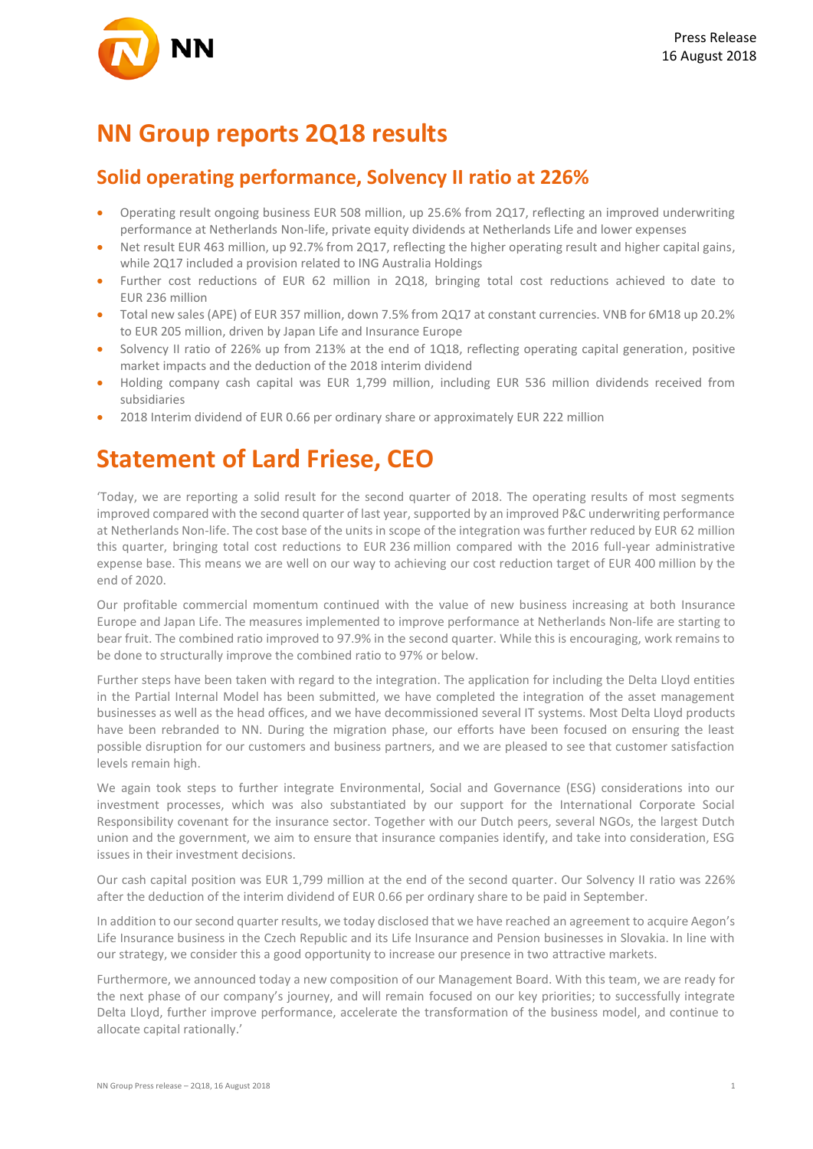

### **NN Group reports 2Q18 results**

### **Solid operating performance, Solvency II ratio at 226%**

- Operating result ongoing business EUR 508 million, up 25.6% from 2Q17, reflecting an improved underwriting performance at Netherlands Non-life, private equity dividends at Netherlands Life and lower expenses
- Net result EUR 463 million, up 92.7% from 2Q17, reflecting the higher operating result and higher capital gains, while 2Q17 included a provision related to ING Australia Holdings
- Further cost reductions of EUR 62 million in 2Q18, bringing total cost reductions achieved to date to EUR 236 million
- Total new sales (APE) of EUR 357 million, down 7.5% from 2Q17 at constant currencies. VNB for 6M18 up 20.2% to EUR 205 million, driven by Japan Life and Insurance Europe
- Solvency II ratio of 226% up from 213% at the end of 1Q18, reflecting operating capital generation, positive market impacts and the deduction of the 2018 interim dividend
- Holding company cash capital was EUR 1,799 million, including EUR 536 million dividends received from subsidiaries
- 2018 Interim dividend of EUR 0.66 per ordinary share or approximately EUR 222 million

### **Statement of Lard Friese, CEO**

'Today, we are reporting a solid result for the second quarter of 2018. The operating results of most segments improved compared with the second quarter of last year, supported by an improved P&C underwriting performance at Netherlands Non-life. The cost base of the units in scope of the integration was further reduced by EUR 62 million this quarter, bringing total cost reductions to EUR 236 million compared with the 2016 full-year administrative expense base. This means we are well on our way to achieving our cost reduction target of EUR 400 million by the end of 2020.

Our profitable commercial momentum continued with the value of new business increasing at both Insurance Europe and Japan Life. The measures implemented to improve performance at Netherlands Non-life are starting to bear fruit. The combined ratio improved to 97.9% in the second quarter. While this is encouraging, work remains to be done to structurally improve the combined ratio to 97% or below.

Further steps have been taken with regard to the integration. The application for including the Delta Lloyd entities in the Partial Internal Model has been submitted, we have completed the integration of the asset management businesses as well as the head offices, and we have decommissioned several IT systems. Most Delta Lloyd products have been rebranded to NN. During the migration phase, our efforts have been focused on ensuring the least possible disruption for our customers and business partners, and we are pleased to see that customer satisfaction levels remain high.

We again took steps to further integrate Environmental, Social and Governance (ESG) considerations into our investment processes, which was also substantiated by our support for the International Corporate Social Responsibility covenant for the insurance sector. Together with our Dutch peers, several NGOs, the largest Dutch union and the government, we aim to ensure that insurance companies identify, and take into consideration, ESG issues in their investment decisions.

Our cash capital position was EUR 1,799 million at the end of the second quarter. Our Solvency II ratio was 226% after the deduction of the interim dividend of EUR 0.66 per ordinary share to be paid in September.

In addition to our second quarter results, we today disclosed that we have reached an agreement to acquire Aegon's Life Insurance business in the Czech Republic and its Life Insurance and Pension businesses in Slovakia. In line with our strategy, we consider this a good opportunity to increase our presence in two attractive markets.

Furthermore, we announced today a new composition of our Management Board. With this team, we are ready for the next phase of our company's journey, and will remain focused on our key priorities; to successfully integrate Delta Lloyd, further improve performance, accelerate the transformation of the business model, and continue to allocate capital rationally.'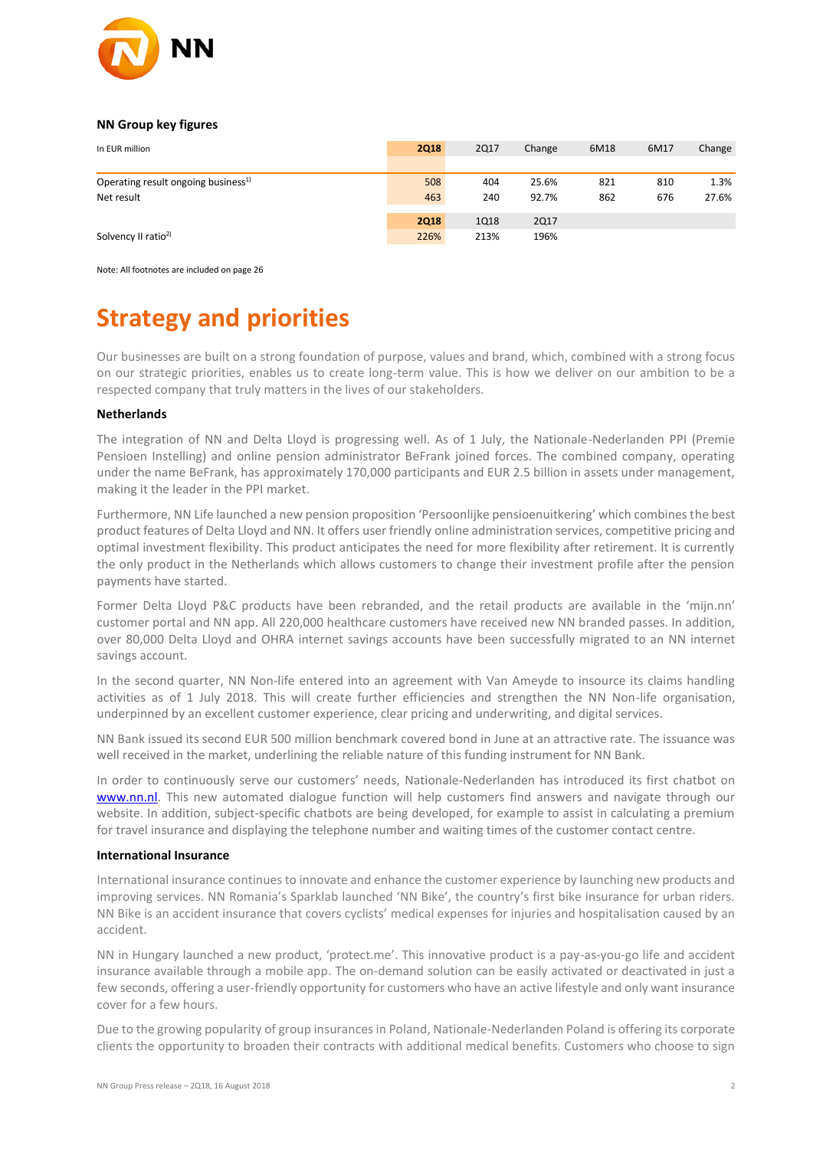

#### **NN Group key figures**

| In EUR million                                  | <b>2Q18</b> | <b>2Q17</b> | Change | 6M18 | 6M17 | Change |
|-------------------------------------------------|-------------|-------------|--------|------|------|--------|
|                                                 |             |             |        |      |      |        |
| Operating result ongoing business <sup>1)</sup> | 508         | 404         | 25.6%  | 821  | 810  | 1.3%   |
| Net result                                      | 463         | 240         | 92.7%  | 862  | 676  | 27.6%  |
|                                                 | <b>2Q18</b> | 1Q18        | 2Q17   |      |      |        |
| Solvency II ratio <sup>2)</sup>                 | 226%        | 213%        | 196%   |      |      |        |

Note: All footnotes are included on page 26

## **Strategy and priorities**

Our businesses are built on a strong foundation of purpose, values and brand, which, combined with a strong focus on our strategic priorities, enables us to create long-term value. This is how we deliver on our ambition to be a respected company that truly matters in the lives of our stakeholders.

#### **Netherlands**

The integration of NN and Delta Lloyd is progressing well. As of 1 July, the Nationale-Nederlanden PPI (Premie Pensioen Instelling) and online pension administrator BeFrank joined forces. The combined company, operating under the name BeFrank, has approximately 170,000 participants and EUR 2.5 billion in assets under management, making it the leader in the PPI market.

Furthermore, NN Life launched a new pension proposition 'Persoonlijke pensioenuitkering' which combines the best product features of Delta Lloyd and NN. It offers user friendly online administration services, competitive pricing and optimal investment flexibility. This product anticipates the need for more flexibility after retirement. It is currently the only product in the Netherlands which allows customers to change their investment profile after the pension payments have started.

Former Delta Lloyd P&C products have been rebranded, and the retail products are available in the 'mijn.nn' customer portal and NN app. All 220,000 healthcare customers have received new NN branded passes. In addition, over 80,000 Delta Lloyd and OHRA internet savings accounts have been successfully migrated to an NN internet savings account.

In the second quarter, NN Non-life entered into an agreement with Van Ameyde to insource its claims handling activities as of 1 July 2018. This will create further efficiencies and strengthen the NN Non-life organisation, underpinned by an excellent customer experience, clear pricing and underwriting, and digital services.

NN Bank issued its second EUR 500 million benchmark covered bond in June at an attractive rate. The issuance was well received in the market, underlining the reliable nature of this funding instrument for NN Bank.

In order to continuously serve our customers' needs, Nationale-Nederlanden has introduced its first chatbot on [www.nn.nl.](http://www.nn.nl/) This new automated dialogue function will help customers find answers and navigate through our website. In addition, subject-specific chatbots are being developed, for example to assist in calculating a premium for travel insurance and displaying the telephone number and waiting times of the customer contact centre.

#### **International Insurance**

International insurance continues to innovate and enhance the customer experience by launching new products and improving services. NN Romania's Sparklab launched 'NN Bike', the country's first bike insurance for urban riders. NN Bike is an accident insurance that covers cyclists' medical expenses for injuries and hospitalisation caused by an accident.

NN in Hungary launched a new product, 'protect.me'. This innovative product is a pay-as-you-go life and accident insurance available through a mobile app. The on-demand solution can be easily activated or deactivated in just a few seconds, offering a user-friendly opportunity for customers who have an active lifestyle and only want insurance cover for a few hours.

Due to the growing popularity of group insurances in Poland, Nationale-Nederlanden Poland is offering its corporate clients the opportunity to broaden their contracts with additional medical benefits. Customers who choose to sign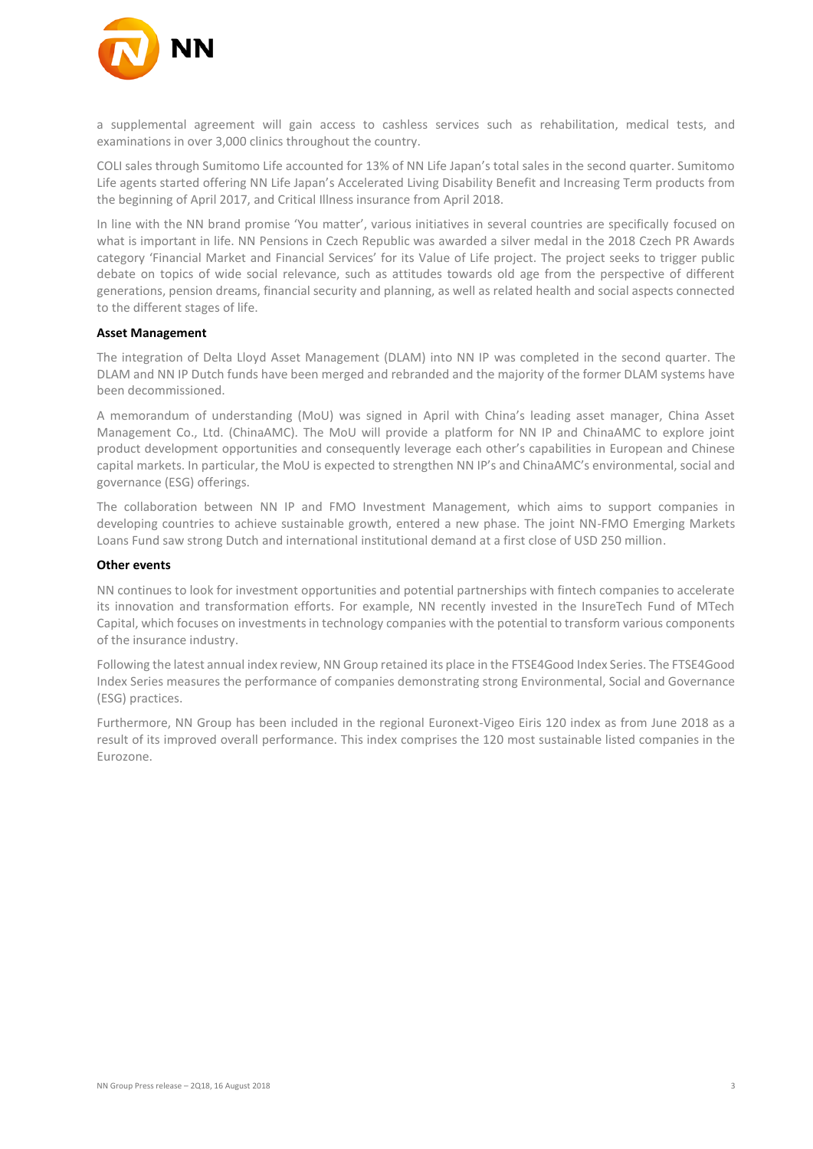

a supplemental agreement will gain access to cashless services such as rehabilitation, medical tests, and examinations in over 3,000 clinics throughout the country.

COLI sales through Sumitomo Life accounted for 13% of NN Life Japan's total sales in the second quarter. Sumitomo Life agents started offering NN Life Japan's Accelerated Living Disability Benefit and Increasing Term products from the beginning of April 2017, and Critical Illness insurance from April 2018.

In line with the NN brand promise 'You matter', various initiatives in several countries are specifically focused on what is important in life. NN Pensions in Czech Republic was awarded a silver medal in the 2018 Czech PR Awards category 'Financial Market and Financial Services' for its Value of Life project. The project seeks to trigger public debate on topics of wide social relevance, such as attitudes towards old age from the perspective of different generations, pension dreams, financial security and planning, as well as related health and social aspects connected to the different stages of life.

#### **Asset Management**

The integration of Delta Lloyd Asset Management (DLAM) into NN IP was completed in the second quarter. The DLAM and NN IP Dutch funds have been merged and rebranded and the majority of the former DLAM systems have been decommissioned.

A memorandum of understanding (MoU) was signed in April with China's leading asset manager, China Asset Management Co., Ltd. (ChinaAMC). The MoU will provide a platform for NN IP and ChinaAMC to explore joint product development opportunities and consequently leverage each other's capabilities in European and Chinese capital markets. In particular, the MoU is expected to strengthen NN IP's and ChinaAMC's environmental, social and governance (ESG) offerings.

The collaboration between NN IP and FMO Investment Management, which aims to support companies in developing countries to achieve sustainable growth, entered a new phase. The joint NN-FMO Emerging Markets Loans Fund saw strong Dutch and international institutional demand at a first close of USD 250 million.

#### **Other events**

NN continues to look for investment opportunities and potential partnerships with fintech companies to accelerate its innovation and transformation efforts. For example, NN recently invested in the InsureTech Fund of MTech Capital, which focuses on investments in technology companies with the potential to transform various components of the insurance industry.

Following the latest annual index review, NN Group retained its place in the FTSE4Good Index Series. The FTSE4Good Index Series measures the performance of companies demonstrating strong Environmental, Social and Governance (ESG) practices.

Furthermore, NN Group has been included in the regional Euronext-Vigeo Eiris 120 index as from June 2018 as a result of its improved overall performance. This index comprises the 120 most sustainable listed companies in the Eurozone.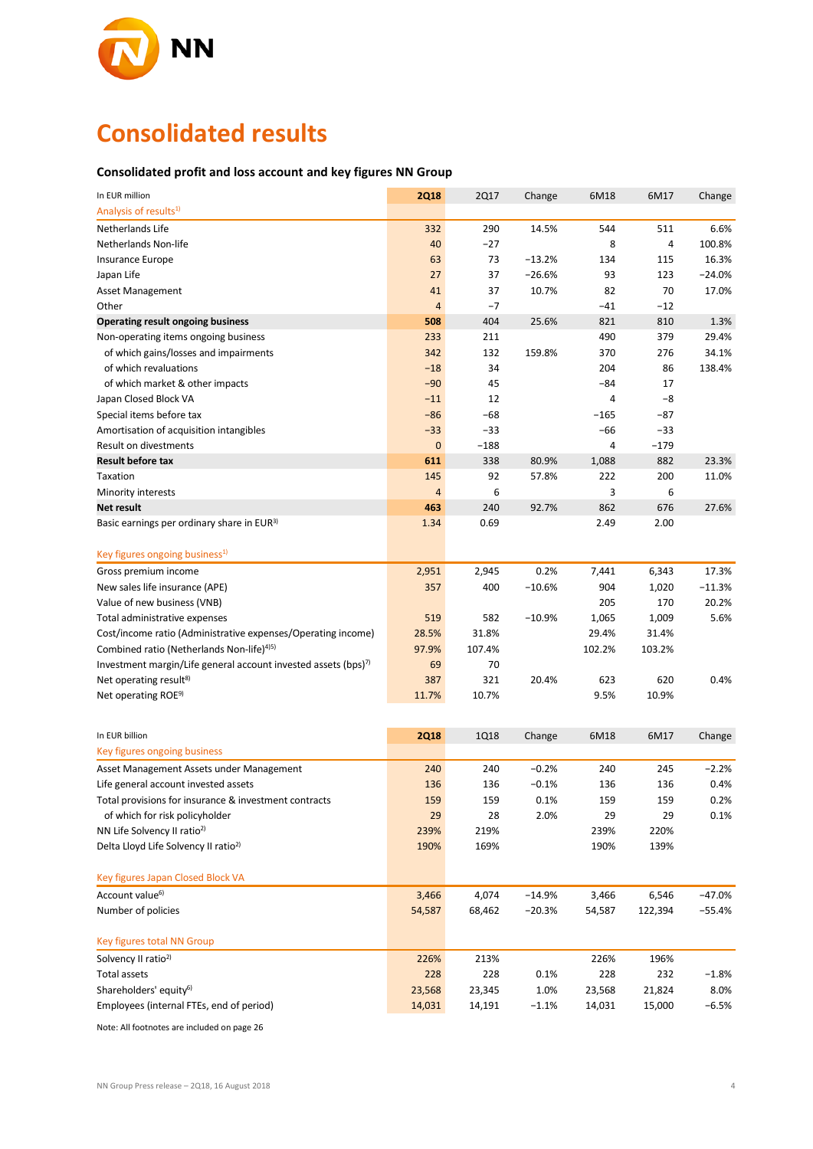

# **Consolidated results**

#### **Consolidated profit and loss account and key figures NN Group**

| In EUR million                                                             | <b>2Q18</b>    | <b>2Q17</b> | Change   | 6M18   | 6M17    | Change   |
|----------------------------------------------------------------------------|----------------|-------------|----------|--------|---------|----------|
| Analysis of results <sup>1)</sup>                                          |                |             |          |        |         |          |
| Netherlands Life                                                           | 332            | 290         | 14.5%    | 544    | 511     | 6.6%     |
| Netherlands Non-life                                                       | 40             | $-27$       |          | 8      | 4       | 100.8%   |
| Insurance Europe                                                           | 63             | 73          | $-13.2%$ | 134    | 115     | 16.3%    |
| Japan Life                                                                 | 27             | 37          | $-26.6%$ | 93     | 123     | $-24.0%$ |
| Asset Management                                                           | 41             | 37          | 10.7%    | 82     | 70      | 17.0%    |
| Other                                                                      | $\overline{4}$ | $-7$        |          | $-41$  | $-12$   |          |
| <b>Operating result ongoing business</b>                                   | 508            | 404         | 25.6%    | 821    | 810     | 1.3%     |
| Non-operating items ongoing business                                       | 233            | 211         |          | 490    | 379     | 29.4%    |
| of which gains/losses and impairments                                      | 342            | 132         | 159.8%   | 370    | 276     | 34.1%    |
| of which revaluations                                                      | $-18$          | 34          |          | 204    | 86      | 138.4%   |
| of which market & other impacts                                            | $-90$          | 45          |          | $-84$  | 17      |          |
| Japan Closed Block VA                                                      | $-11$          | 12          |          | 4      | -8      |          |
| Special items before tax                                                   | $-86$          | -68         |          | -165   | $-87$   |          |
| Amortisation of acquisition intangibles                                    | $-33$          | $-33$       |          | -66    | $-33$   |          |
| Result on divestments                                                      | $\pmb{0}$      | $-188$      |          | 4      | $-179$  |          |
| <b>Result before tax</b>                                                   | 611            | 338         | 80.9%    | 1,088  | 882     | 23.3%    |
| Taxation                                                                   | 145            | 92          | 57.8%    | 222    | 200     | 11.0%    |
| Minority interests                                                         | $\overline{4}$ | 6           |          | 3      | 6       |          |
| <b>Net result</b>                                                          | 463            | 240         | 92.7%    | 862    | 676     | 27.6%    |
| Basic earnings per ordinary share in EUR <sup>3)</sup>                     | 1.34           | 0.69        |          | 2.49   | 2.00    |          |
|                                                                            |                |             |          |        |         |          |
| Key figures ongoing business <sup>1)</sup>                                 |                |             |          |        |         |          |
| Gross premium income                                                       | 2,951          | 2,945       | 0.2%     | 7,441  | 6,343   | 17.3%    |
| New sales life insurance (APE)                                             | 357            | 400         | $-10.6%$ | 904    | 1,020   | $-11.3%$ |
| Value of new business (VNB)                                                |                |             |          | 205    | 170     | 20.2%    |
| Total administrative expenses                                              | 519            | 582         | $-10.9%$ | 1,065  | 1,009   | 5.6%     |
| Cost/income ratio (Administrative expenses/Operating income)               | 28.5%          | 31.8%       |          | 29.4%  | 31.4%   |          |
| Combined ratio (Netherlands Non-life) <sup>4)5)</sup>                      | 97.9%          | 107.4%      |          | 102.2% | 103.2%  |          |
| Investment margin/Life general account invested assets (bps) <sup>7)</sup> | 69             | 70          |          |        |         |          |
| Net operating result <sup>8)</sup>                                         | 387            | 321         | 20.4%    | 623    | 620     | 0.4%     |
| Net operating ROE <sup>9)</sup>                                            | 11.7%          | 10.7%       |          | 9.5%   | 10.9%   |          |
|                                                                            |                |             |          |        |         |          |
|                                                                            |                |             |          |        |         |          |
| In EUR billion                                                             | <b>2Q18</b>    | <b>1Q18</b> | Change   | 6M18   | 6M17    | Change   |
| Key figures ongoing business                                               |                |             |          |        |         |          |
| Asset Management Assets under Management                                   | 240            | 240         | $-0.2%$  | 240    | 245     | $-2.2%$  |
| Life general account invested assets                                       | 136            | 136         | $-0.1%$  | 136    | 136     | 0.4%     |
| Total provisions for insurance & investment contracts                      | 159            | 159         | 0.1%     | 159    | 159     | 0.2%     |
| of which for risk policyholder                                             | 29             | 28          | 2.0%     | 29     | 29      | 0.1%     |
| NN Life Solvency II ratio <sup>2)</sup>                                    | 239%           | 219%        |          | 239%   | 220%    |          |
| Delta Lloyd Life Solvency II ratio <sup>2)</sup>                           | 190%           | 169%        |          | 190%   | 139%    |          |
|                                                                            |                |             |          |        |         |          |
| Key figures Japan Closed Block VA                                          |                |             |          |        |         |          |
| Account value <sup>6)</sup>                                                | 3,466          | 4,074       | $-14.9%$ | 3,466  | 6,546   | $-47.0%$ |
| Number of policies                                                         | 54,587         | 68,462      | $-20.3%$ | 54,587 | 122,394 | $-55.4%$ |
|                                                                            |                |             |          |        |         |          |
| Key figures total NN Group                                                 |                |             |          |        |         |          |
| Solvency II ratio <sup>2)</sup>                                            | 226%           | 213%        |          | 226%   | 196%    |          |
| <b>Total assets</b>                                                        | 228            | 228         | 0.1%     | 228    | 232     | $-1.8%$  |
| Shareholders' equity <sup>6)</sup>                                         | 23,568         | 23,345      | 1.0%     | 23,568 | 21,824  | 8.0%     |
| Employees (internal FTEs, end of period)                                   | 14,031         | 14,191      | $-1.1%$  | 14,031 | 15,000  | $-6.5%$  |

Note: All footnotes are included on page 26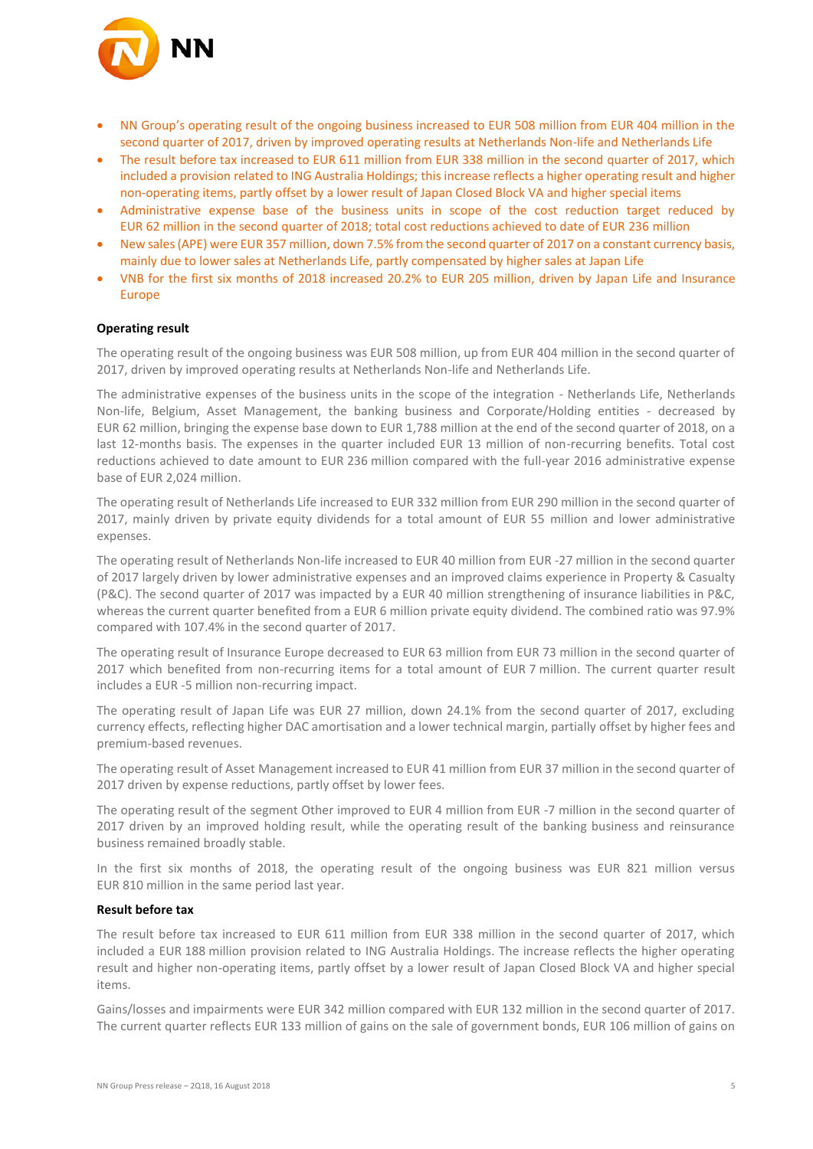

- NN Group's operating result of the ongoing business increased to EUR 508 million from EUR 404 million in the second quarter of 2017, driven by improved operating results at Netherlands Non-life and Netherlands Life
- The result before tax increased to EUR 611 million from EUR 338 million in the second quarter of 2017, which included a provision related to ING Australia Holdings; this increase reflects a higher operating result and higher non-operating items, partly offset by a lower result of Japan Closed Block VA and higher special items
- Administrative expense base of the business units in scope of the cost reduction target reduced by EUR 62 million in the second quarter of 2018; total cost reductions achieved to date of EUR 236 million
- New sales (APE) were EUR 357 million, down 7.5% from the second quarter of 2017 on a constant currency basis, mainly due to lower sales at Netherlands Life, partly compensated by higher sales at Japan Life
- VNB for the first six months of 2018 increased 20.2% to EUR 205 million, driven by Japan Life and Insurance Europe

#### **Operating result**

The operating result of the ongoing business was EUR 508 million, up from EUR 404 million in the second quarter of 2017, driven by improved operating results at Netherlands Non-life and Netherlands Life.

The administrative expenses of the business units in the scope of the integration - Netherlands Life, Netherlands Non-life, Belgium, Asset Management, the banking business and Corporate/Holding entities - decreased by EUR 62 million, bringing the expense base down to EUR 1,788 million at the end of the second quarter of 2018, on a last 12-months basis. The expenses in the quarter included EUR 13 million of non-recurring benefits. Total cost reductions achieved to date amount to EUR 236 million compared with the full-year 2016 administrative expense base of EUR 2,024 million.

The operating result of Netherlands Life increased to EUR 332 million from EUR 290 million in the second quarter of 2017, mainly driven by private equity dividends for a total amount of EUR 55 million and lower administrative expenses.

The operating result of Netherlands Non-life increased to EUR 40 million from EUR -27 million in the second quarter of 2017 largely driven by lower administrative expenses and an improved claims experience in Property & Casualty (P&C). The second quarter of 2017 was impacted by a EUR 40 million strengthening of insurance liabilities in P&C, whereas the current quarter benefited from a EUR 6 million private equity dividend. The combined ratio was 97.9% compared with 107.4% in the second quarter of 2017.

The operating result of Insurance Europe decreased to EUR 63 million from EUR 73 million in the second quarter of 2017 which benefited from non-recurring items for a total amount of EUR 7 million. The current quarter result includes a EUR -5 million non-recurring impact.

The operating result of Japan Life was EUR 27 million, down 24.1% from the second quarter of 2017, excluding currency effects, reflecting higher DAC amortisation and a lower technical margin, partially offset by higher fees and premium-based revenues.

The operating result of Asset Management increased to EUR 41 million from EUR 37 million in the second quarter of 2017 driven by expense reductions, partly offset by lower fees.

The operating result of the segment Other improved to EUR 4 million from EUR -7 million in the second quarter of 2017 driven by an improved holding result, while the operating result of the banking business and reinsurance business remained broadly stable.

In the first six months of 2018, the operating result of the ongoing business was EUR 821 million versus EUR 810 million in the same period last year.

#### **Result before tax**

The result before tax increased to EUR 611 million from EUR 338 million in the second quarter of 2017, which included a EUR 188 million provision related to ING Australia Holdings. The increase reflects the higher operating result and higher non-operating items, partly offset by a lower result of Japan Closed Block VA and higher special items.

Gains/losses and impairments were EUR 342 million compared with EUR 132 million in the second quarter of 2017. The current quarter reflects EUR 133 million of gains on the sale of government bonds, EUR 106 million of gains on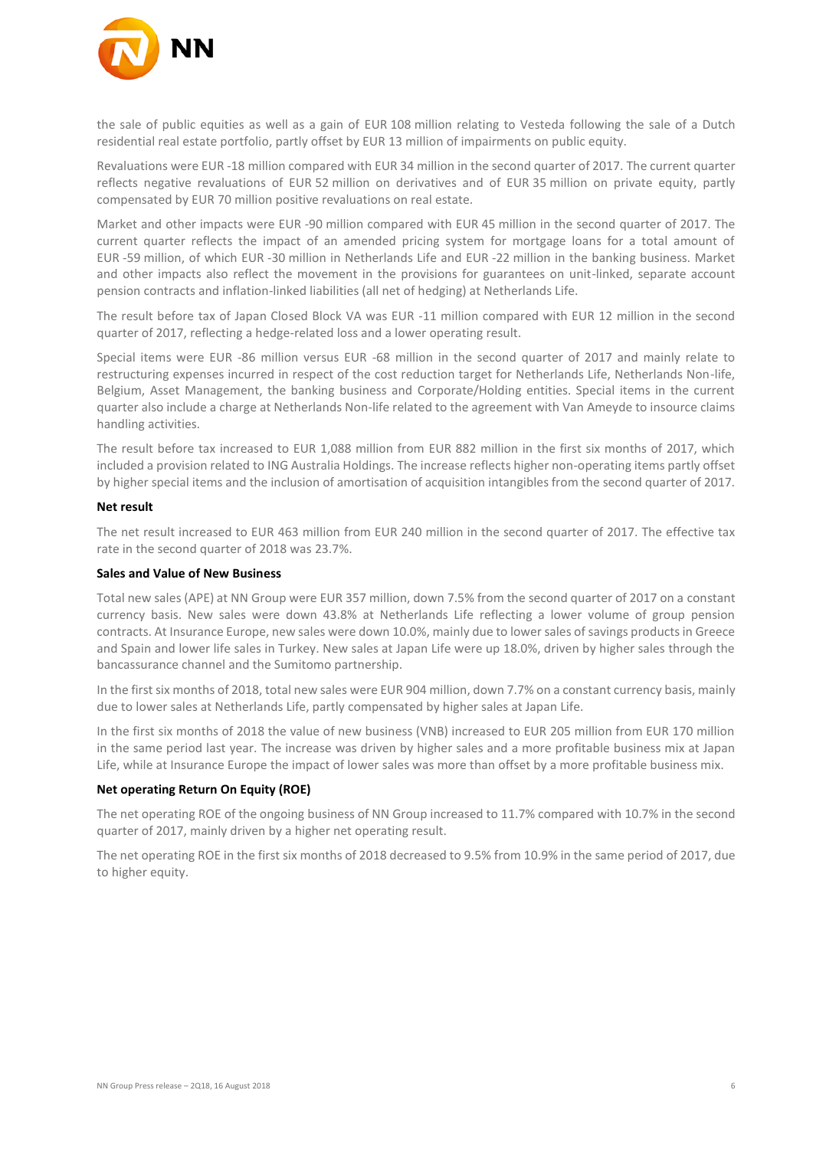

the sale of public equities as well as a gain of EUR 108 million relating to Vesteda following the sale of a Dutch residential real estate portfolio, partly offset by EUR 13 million of impairments on public equity.

Revaluations were EUR -18 million compared with EUR 34 million in the second quarter of 2017. The current quarter reflects negative revaluations of EUR 52 million on derivatives and of EUR 35 million on private equity, partly compensated by EUR 70 million positive revaluations on real estate.

Market and other impacts were EUR -90 million compared with EUR 45 million in the second quarter of 2017. The current quarter reflects the impact of an amended pricing system for mortgage loans for a total amount of EUR -59 million, of which EUR -30 million in Netherlands Life and EUR -22 million in the banking business. Market and other impacts also reflect the movement in the provisions for guarantees on unit-linked, separate account pension contracts and inflation-linked liabilities (all net of hedging) at Netherlands Life.

The result before tax of Japan Closed Block VA was EUR -11 million compared with EUR 12 million in the second quarter of 2017, reflecting a hedge-related loss and a lower operating result.

Special items were EUR -86 million versus EUR -68 million in the second quarter of 2017 and mainly relate to restructuring expenses incurred in respect of the cost reduction target for Netherlands Life, Netherlands Non-life, Belgium, Asset Management, the banking business and Corporate/Holding entities. Special items in the current quarter also include a charge at Netherlands Non-life related to the agreement with Van Ameyde to insource claims handling activities.

The result before tax increased to EUR 1,088 million from EUR 882 million in the first six months of 2017, which included a provision related to ING Australia Holdings. The increase reflects higher non-operating items partly offset by higher special items and the inclusion of amortisation of acquisition intangibles from the second quarter of 2017.

#### **Net result**

The net result increased to EUR 463 million from EUR 240 million in the second quarter of 2017. The effective tax rate in the second quarter of 2018 was 23.7%.

#### **Sales and Value of New Business**

Total new sales (APE) at NN Group were EUR 357 million, down 7.5% from the second quarter of 2017 on a constant currency basis. New sales were down 43.8% at Netherlands Life reflecting a lower volume of group pension contracts. At Insurance Europe, new sales were down 10.0%, mainly due to lower sales of savings products in Greece and Spain and lower life sales in Turkey. New sales at Japan Life were up 18.0%, driven by higher sales through the bancassurance channel and the Sumitomo partnership.

In the first six months of 2018, total new sales were EUR 904 million, down 7.7% on a constant currency basis, mainly due to lower sales at Netherlands Life, partly compensated by higher sales at Japan Life.

In the first six months of 2018 the value of new business (VNB) increased to EUR 205 million from EUR 170 million in the same period last year. The increase was driven by higher sales and a more profitable business mix at Japan Life, while at Insurance Europe the impact of lower sales was more than offset by a more profitable business mix.

#### **Net operating Return On Equity (ROE)**

The net operating ROE of the ongoing business of NN Group increased to 11.7% compared with 10.7% in the second quarter of 2017, mainly driven by a higher net operating result.

The net operating ROE in the first six months of 2018 decreased to 9.5% from 10.9% in the same period of 2017, due to higher equity.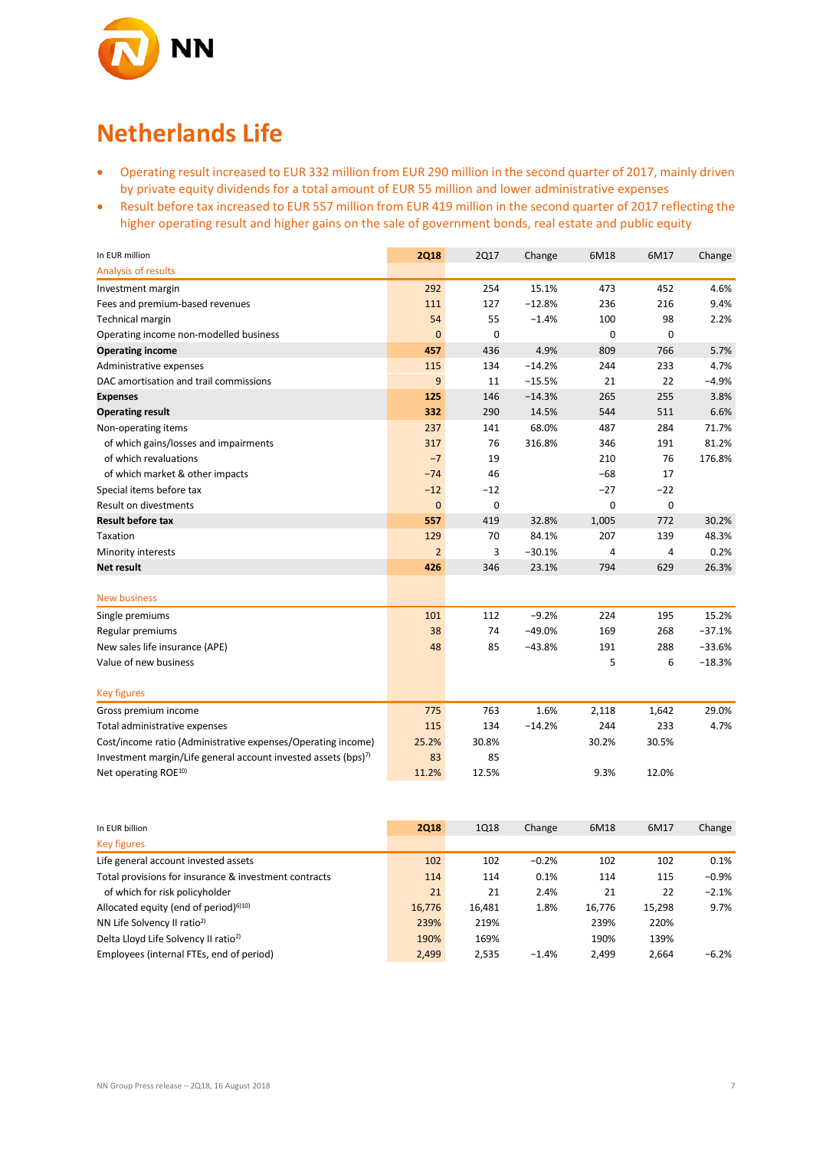

## **Netherlands Life**

- Operating result increased to EUR 332 million from EUR 290 million in the second quarter of 2017, mainly driven by private equity dividends for a total amount of EUR 55 million and lower administrative expenses
- Result before tax increased to EUR 557 million from EUR 419 million in the second quarter of 2017 reflecting the higher operating result and higher gains on the sale of government bonds, real estate and public equity

| In EUR million                                                             | <b>2Q18</b>    | <b>2Q17</b> | Change   | 6M18  | 6M17  | Change   |
|----------------------------------------------------------------------------|----------------|-------------|----------|-------|-------|----------|
| Analysis of results                                                        |                |             |          |       |       |          |
| Investment margin                                                          | 292            | 254         | 15.1%    | 473   | 452   | 4.6%     |
| Fees and premium-based revenues                                            | 111            | 127         | $-12.8%$ | 236   | 216   | 9.4%     |
| <b>Technical margin</b>                                                    | 54             | 55          | $-1.4%$  | 100   | 98    | 2.2%     |
| Operating income non-modelled business                                     | $\mathbf 0$    | 0           |          | 0     | 0     |          |
| <b>Operating income</b>                                                    | 457            | 436         | 4.9%     | 809   | 766   | 5.7%     |
| Administrative expenses                                                    | 115            | 134         | $-14.2%$ | 244   | 233   | 4.7%     |
| DAC amortisation and trail commissions                                     | 9              | 11          | $-15.5%$ | 21    | 22    | $-4.9%$  |
| <b>Expenses</b>                                                            | 125            | 146         | $-14.3%$ | 265   | 255   | 3.8%     |
| <b>Operating result</b>                                                    | 332            | 290         | 14.5%    | 544   | 511   | 6.6%     |
| Non-operating items                                                        | 237            | 141         | 68.0%    | 487   | 284   | 71.7%    |
| of which gains/losses and impairments                                      | 317            | 76          | 316.8%   | 346   | 191   | 81.2%    |
| of which revaluations                                                      | $-7$           | 19          |          | 210   | 76    | 176.8%   |
| of which market & other impacts                                            | $-74$          | 46          |          | $-68$ | 17    |          |
| Special items before tax                                                   | $-12$          | $-12$       |          | $-27$ | $-22$ |          |
| <b>Result on divestments</b>                                               | $\mathbf 0$    | 0           |          | 0     | 0     |          |
| <b>Result before tax</b>                                                   | 557            | 419         | 32.8%    | 1,005 | 772   | 30.2%    |
| Taxation                                                                   | 129            | 70          | 84.1%    | 207   | 139   | 48.3%    |
| Minority interests                                                         | $\overline{2}$ | 3           | $-30.1%$ | 4     | 4     | 0.2%     |
| Net result                                                                 | 426            | 346         | 23.1%    | 794   | 629   | 26.3%    |
|                                                                            |                |             |          |       |       |          |
| <b>New business</b>                                                        |                |             |          |       |       |          |
| Single premiums                                                            | 101            | 112         | $-9.2%$  | 224   | 195   | 15.2%    |
| Regular premiums                                                           | 38             | 74          | $-49.0%$ | 169   | 268   | $-37.1%$ |
| New sales life insurance (APE)                                             | 48             | 85          | $-43.8%$ | 191   | 288   | $-33.6%$ |
| Value of new business                                                      |                |             |          | 5     | 6     | $-18.3%$ |
| <b>Key figures</b>                                                         |                |             |          |       |       |          |
| Gross premium income                                                       | 775            | 763         | 1.6%     | 2,118 | 1,642 | 29.0%    |
| Total administrative expenses                                              | 115            | 134         | $-14.2%$ | 244   | 233   | 4.7%     |
| Cost/income ratio (Administrative expenses/Operating income)               | 25.2%          | 30.8%       |          | 30.2% | 30.5% |          |
| Investment margin/Life general account invested assets (bps) <sup>7)</sup> | 83             | 85          |          |       |       |          |
| Net operating ROE <sup>10)</sup>                                           | 11.2%          | 12.5%       |          | 9.3%  | 12.0% |          |

| In EUR billion                                        | <b>2Q18</b> | 1Q18   | Change  | 6M18   | 6M17   | Change  |
|-------------------------------------------------------|-------------|--------|---------|--------|--------|---------|
| <b>Key figures</b>                                    |             |        |         |        |        |         |
| Life general account invested assets                  | 102         | 102    | $-0.2%$ | 102    | 102    | 0.1%    |
| Total provisions for insurance & investment contracts | 114         | 114    | 0.1%    | 114    | 115    | $-0.9%$ |
| of which for risk policyholder                        | 21          | 21     | 2.4%    | 21     | 22     | $-2.1%$ |
| Allocated equity (end of period) $610$                | 16,776      | 16,481 | 1.8%    | 16,776 | 15,298 | 9.7%    |
| NN Life Solvency II ratio <sup>2)</sup>               | 239%        | 219%   |         | 239%   | 220%   |         |
| Delta Lloyd Life Solvency II ratio <sup>2)</sup>      | 190%        | 169%   |         | 190%   | 139%   |         |
| Employees (internal FTEs, end of period)              | 2,499       | 2,535  | $-1.4%$ | 2.499  | 2.664  | $-6.2%$ |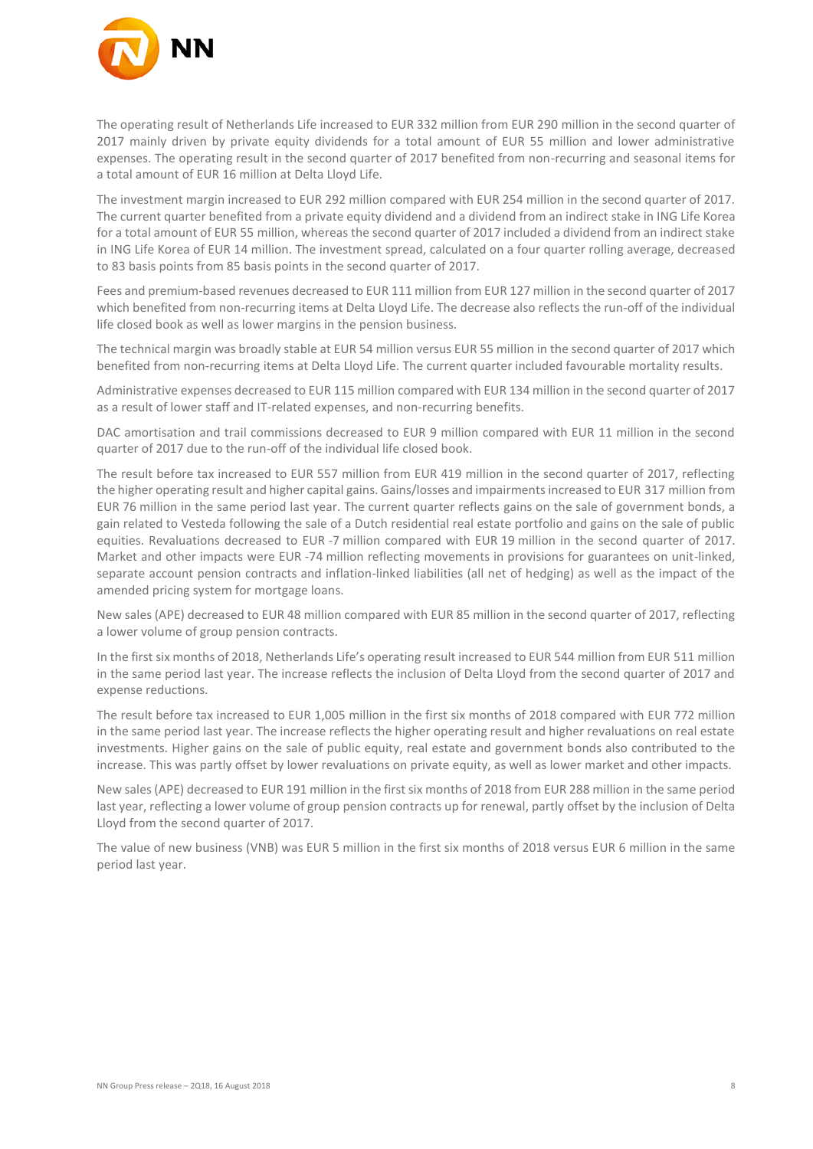

The operating result of Netherlands Life increased to EUR 332 million from EUR 290 million in the second quarter of 2017 mainly driven by private equity dividends for a total amount of EUR 55 million and lower administrative expenses. The operating result in the second quarter of 2017 benefited from non-recurring and seasonal items for a total amount of EUR 16 million at Delta Lloyd Life.

The investment margin increased to EUR 292 million compared with EUR 254 million in the second quarter of 2017. The current quarter benefited from a private equity dividend and a dividend from an indirect stake in ING Life Korea for a total amount of EUR 55 million, whereas the second quarter of 2017 included a dividend from an indirect stake in ING Life Korea of EUR 14 million. The investment spread, calculated on a four quarter rolling average, decreased to 83 basis points from 85 basis points in the second quarter of 2017.

Fees and premium-based revenues decreased to EUR 111 million from EUR 127 million in the second quarter of 2017 which benefited from non-recurring items at Delta Lloyd Life. The decrease also reflects the run-off of the individual life closed book as well as lower margins in the pension business.

The technical margin was broadly stable at EUR 54 million versus EUR 55 million in the second quarter of 2017 which benefited from non-recurring items at Delta Lloyd Life. The current quarter included favourable mortality results.

Administrative expenses decreased to EUR 115 million compared with EUR 134 million in the second quarter of 2017 as a result of lower staff and IT-related expenses, and non-recurring benefits.

DAC amortisation and trail commissions decreased to EUR 9 million compared with EUR 11 million in the second quarter of 2017 due to the run-off of the individual life closed book.

The result before tax increased to EUR 557 million from EUR 419 million in the second quarter of 2017, reflecting the higher operating result and higher capital gains. Gains/losses and impairments increased to EUR 317 million from EUR 76 million in the same period last year. The current quarter reflects gains on the sale of government bonds, a gain related to Vesteda following the sale of a Dutch residential real estate portfolio and gains on the sale of public equities. Revaluations decreased to EUR -7 million compared with EUR 19 million in the second quarter of 2017. Market and other impacts were EUR -74 million reflecting movements in provisions for guarantees on unit-linked, separate account pension contracts and inflation-linked liabilities (all net of hedging) as well as the impact of the amended pricing system for mortgage loans.

New sales (APE) decreased to EUR 48 million compared with EUR 85 million in the second quarter of 2017, reflecting a lower volume of group pension contracts.

In the first six months of 2018, Netherlands Life's operating result increased to EUR 544 million from EUR 511 million in the same period last year. The increase reflects the inclusion of Delta Lloyd from the second quarter of 2017 and expense reductions.

The result before tax increased to EUR 1,005 million in the first six months of 2018 compared with EUR 772 million in the same period last year. The increase reflects the higher operating result and higher revaluations on real estate investments. Higher gains on the sale of public equity, real estate and government bonds also contributed to the increase. This was partly offset by lower revaluations on private equity, as well as lower market and other impacts.

New sales (APE) decreased to EUR 191 million in the first six months of 2018 from EUR 288 million in the same period last year, reflecting a lower volume of group pension contracts up for renewal, partly offset by the inclusion of Delta Lloyd from the second quarter of 2017.

The value of new business (VNB) was EUR 5 million in the first six months of 2018 versus EUR 6 million in the same period last year.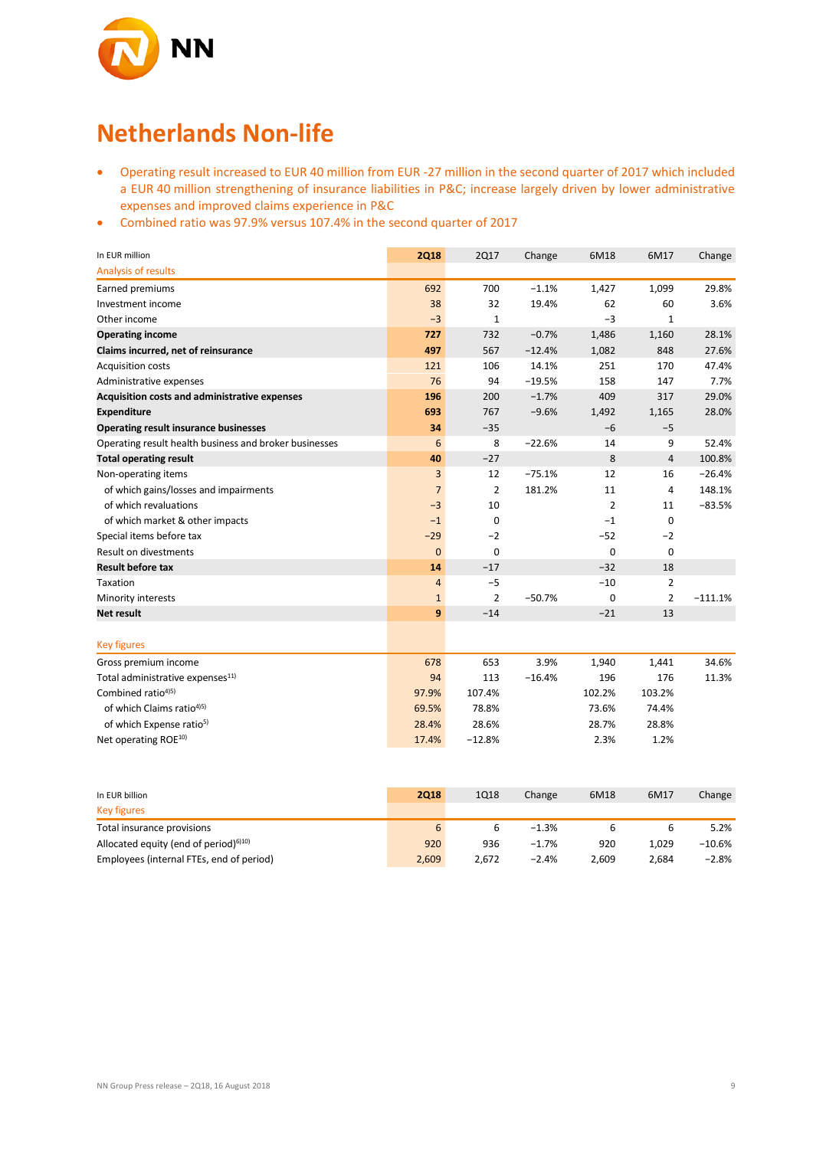

## **Netherlands Non-life**

- Operating result increased to EUR 40 million from EUR -27 million in the second quarter of 2017 which included a EUR 40 million strengthening of insurance liabilities in P&C; increase largely driven by lower administrative expenses and improved claims experience in P&C
- Combined ratio was 97.9% versus 107.4% in the second quarter of 2017

| In EUR million                                         | <b>2Q18</b>    | <b>2Q17</b>    | Change   | 6M18        | 6M17           | Change    |
|--------------------------------------------------------|----------------|----------------|----------|-------------|----------------|-----------|
| Analysis of results                                    |                |                |          |             |                |           |
| Earned premiums                                        | 692            | 700            | $-1.1%$  | 1,427       | 1,099          | 29.8%     |
| Investment income                                      | 38             | 32             | 19.4%    | 62          | 60             | 3.6%      |
| Other income                                           | $-3$           | $\mathbf{1}$   |          | $-3$        | $\mathbf{1}$   |           |
| <b>Operating income</b>                                | 727            | 732            | $-0.7%$  | 1,486       | 1,160          | 28.1%     |
| Claims incurred, net of reinsurance                    | 497            | 567            | $-12.4%$ | 1,082       | 848            | 27.6%     |
| <b>Acquisition costs</b>                               | 121            | 106            | 14.1%    | 251         | 170            | 47.4%     |
| Administrative expenses                                | 76             | 94             | $-19.5%$ | 158         | 147            | 7.7%      |
| Acquisition costs and administrative expenses          | 196            | 200            | $-1.7%$  | 409         | 317            | 29.0%     |
| <b>Expenditure</b>                                     | 693            | 767            | $-9.6%$  | 1,492       | 1,165          | 28.0%     |
| <b>Operating result insurance businesses</b>           | 34             | $-35$          |          | $-6$        | $-5$           |           |
| Operating result health business and broker businesses | 6              | 8              | $-22.6%$ | 14          | 9              | 52.4%     |
| <b>Total operating result</b>                          | 40             | $-27$          |          | 8           | $\overline{4}$ | 100.8%    |
| Non-operating items                                    | 3              | 12             | $-75.1%$ | 12          | 16             | $-26.4%$  |
| of which gains/losses and impairments                  | $\overline{7}$ | $\overline{2}$ | 181.2%   | 11          | 4              | 148.1%    |
| of which revaluations                                  | $-3$           | 10             |          | 2           | 11             | $-83.5%$  |
| of which market & other impacts                        | $-1$           | 0              |          | $-1$        | 0              |           |
| Special items before tax                               | $-29$          | $-2$           |          | $-52$       | $-2$           |           |
| <b>Result on divestments</b>                           | $\mathbf{0}$   | $\mathbf 0$    |          | $\mathbf 0$ | 0              |           |
| <b>Result before tax</b>                               | 14             | $-17$          |          | $-32$       | 18             |           |
| Taxation                                               | $\overline{4}$ | $-5$           |          | $-10$       | $\overline{2}$ |           |
| Minority interests                                     | $1\,$          | $\overline{2}$ | $-50.7%$ | $\mathbf 0$ | $\overline{2}$ | $-111.1%$ |
| <b>Net result</b>                                      | 9              | $-14$          |          | $-21$       | 13             |           |
| <b>Key figures</b>                                     |                |                |          |             |                |           |
| Gross premium income                                   | 678            | 653            | 3.9%     | 1,940       | 1,441          | 34.6%     |
| Total administrative expenses <sup>11)</sup>           | 94             | 113            | $-16.4%$ | 196         | 176            | 11.3%     |
| Combined ratio <sup>4)5)</sup>                         | 97.9%          | 107.4%         |          | 102.2%      | 103.2%         |           |
| of which Claims ratio <sup>4)5)</sup>                  | 69.5%          | 78.8%          |          | 73.6%       | 74.4%          |           |
| of which Expense ratio <sup>5)</sup>                   | 28.4%          | 28.6%          |          | 28.7%       | 28.8%          |           |
| Net operating ROE <sup>10)</sup>                       | 17.4%          | $-12.8%$       |          | 2.3%        | 1.2%           |           |

| In EUR billion                                                 | <b>2Q18</b> | 1Q18  | Change  | 6M18  | 6M17  | Change    |
|----------------------------------------------------------------|-------------|-------|---------|-------|-------|-----------|
| <b>Key figures</b>                                             |             |       |         |       |       |           |
| Total insurance provisions                                     | 6           | ь     | $-1.3%$ |       |       | 5.2%      |
| Allocated equity (end of period) <sup><math>6)10)</math></sup> | 920         | 936   | $-1.7%$ | 920   | 1.029 | $-10.6\%$ |
| Employees (internal FTEs, end of period)                       | 2,609       | 2.672 | $-2.4%$ | 2,609 | 2.684 | $-2.8\%$  |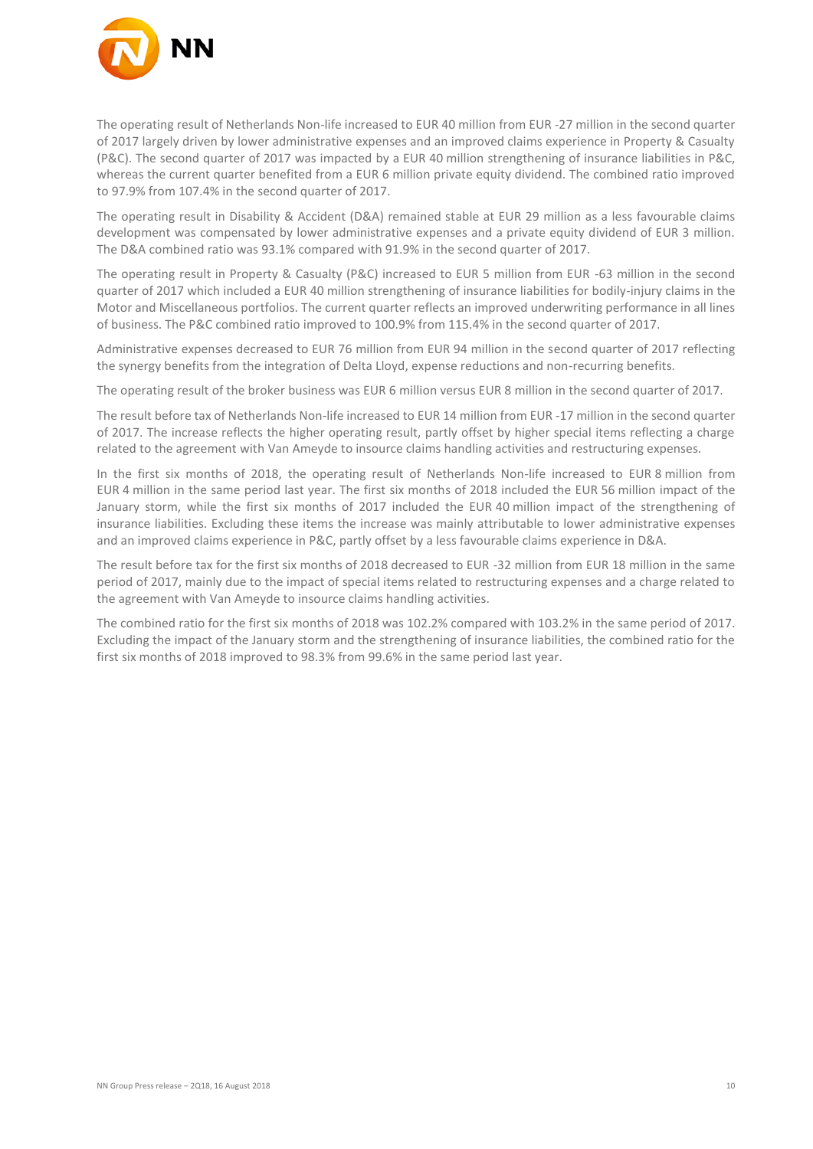

The operating result of Netherlands Non-life increased to EUR 40 million from EUR -27 million in the second quarter of 2017 largely driven by lower administrative expenses and an improved claims experience in Property & Casualty (P&C). The second quarter of 2017 was impacted by a EUR 40 million strengthening of insurance liabilities in P&C, whereas the current quarter benefited from a EUR 6 million private equity dividend. The combined ratio improved to 97.9% from 107.4% in the second quarter of 2017.

The operating result in Disability & Accident (D&A) remained stable at EUR 29 million as a less favourable claims development was compensated by lower administrative expenses and a private equity dividend of EUR 3 million. The D&A combined ratio was 93.1% compared with 91.9% in the second quarter of 2017.

The operating result in Property & Casualty (P&C) increased to EUR 5 million from EUR -63 million in the second quarter of 2017 which included a EUR 40 million strengthening of insurance liabilities for bodily-injury claims in the Motor and Miscellaneous portfolios. The current quarter reflects an improved underwriting performance in all lines of business. The P&C combined ratio improved to 100.9% from 115.4% in the second quarter of 2017.

Administrative expenses decreased to EUR 76 million from EUR 94 million in the second quarter of 2017 reflecting the synergy benefits from the integration of Delta Lloyd, expense reductions and non-recurring benefits.

The operating result of the broker business was EUR 6 million versus EUR 8 million in the second quarter of 2017.

The result before tax of Netherlands Non-life increased to EUR 14 million from EUR -17 million in the second quarter of 2017. The increase reflects the higher operating result, partly offset by higher special items reflecting a charge related to the agreement with Van Ameyde to insource claims handling activities and restructuring expenses.

In the first six months of 2018, the operating result of Netherlands Non-life increased to EUR 8 million from EUR 4 million in the same period last year. The first six months of 2018 included the EUR 56 million impact of the January storm, while the first six months of 2017 included the EUR 40 million impact of the strengthening of insurance liabilities. Excluding these items the increase was mainly attributable to lower administrative expenses and an improved claims experience in P&C, partly offset by a less favourable claims experience in D&A.

The result before tax for the first six months of 2018 decreased to EUR -32 million from EUR 18 million in the same period of 2017, mainly due to the impact of special items related to restructuring expenses and a charge related to the agreement with Van Ameyde to insource claims handling activities.

The combined ratio for the first six months of 2018 was 102.2% compared with 103.2% in the same period of 2017. Excluding the impact of the January storm and the strengthening of insurance liabilities, the combined ratio for the first six months of 2018 improved to 98.3% from 99.6% in the same period last year.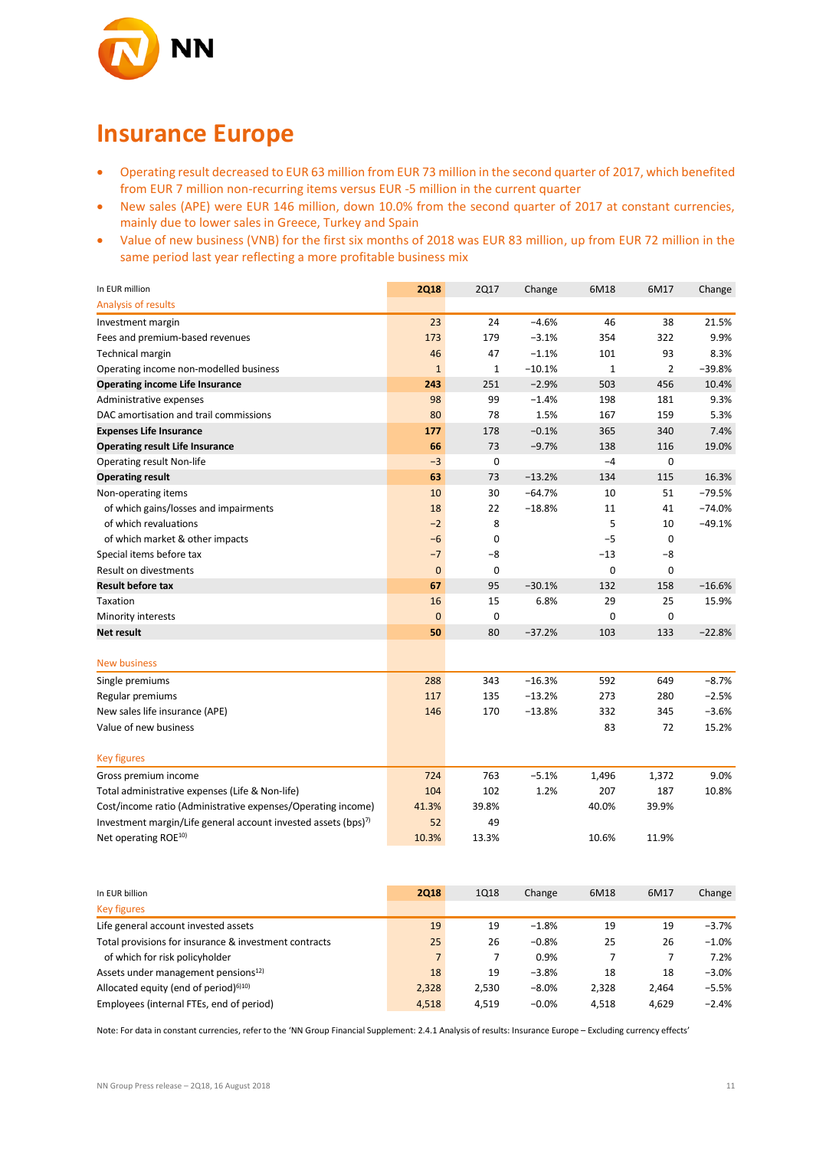

### **Insurance Europe**

- Operating result decreased to EUR 63 million from EUR 73 million in the second quarter of 2017, which benefited from EUR 7 million non-recurring items versus EUR -5 million in the current quarter
- New sales (APE) were EUR 146 million, down 10.0% from the second quarter of 2017 at constant currencies, mainly due to lower sales in Greece, Turkey and Spain
- Value of new business (VNB) for the first six months of 2018 was EUR 83 million, up from EUR 72 million in the same period last year reflecting a more profitable business mix

| In EUR million                                                             | <b>2Q18</b>  | <b>2Q17</b>  | Change   | 6M18        | 6M17           | Change   |
|----------------------------------------------------------------------------|--------------|--------------|----------|-------------|----------------|----------|
| Analysis of results                                                        |              |              |          |             |                |          |
| Investment margin                                                          | 23           | 24           | $-4.6%$  | 46          | 38             | 21.5%    |
| Fees and premium-based revenues                                            | 173          | 179          | $-3.1%$  | 354         | 322            | 9.9%     |
| <b>Technical margin</b>                                                    | 46           | 47           | $-1.1%$  | 101         | 93             | 8.3%     |
| Operating income non-modelled business                                     | $\mathbf{1}$ | $\mathbf{1}$ | $-10.1%$ | $\mathbf 1$ | $\overline{2}$ | $-39.8%$ |
| <b>Operating income Life Insurance</b>                                     | 243          | 251          | $-2.9%$  | 503         | 456            | 10.4%    |
| Administrative expenses                                                    | 98           | 99           | $-1.4%$  | 198         | 181            | 9.3%     |
| DAC amortisation and trail commissions                                     | 80           | 78           | 1.5%     | 167         | 159            | 5.3%     |
| <b>Expenses Life Insurance</b>                                             | 177          | 178          | $-0.1%$  | 365         | 340            | 7.4%     |
| <b>Operating result Life Insurance</b>                                     | 66           | 73           | $-9.7%$  | 138         | 116            | 19.0%    |
| Operating result Non-life                                                  | $-3$         | 0            |          | $-4$        | $\mathbf 0$    |          |
| <b>Operating result</b>                                                    | 63           | 73           | $-13.2%$ | 134         | 115            | 16.3%    |
| Non-operating items                                                        | 10           | 30           | $-64.7%$ | 10          | 51             | $-79.5%$ |
| of which gains/losses and impairments                                      | 18           | 22           | $-18.8%$ | 11          | 41             | $-74.0%$ |
| of which revaluations                                                      | $-2$         | 8            |          | 5           | 10             | $-49.1%$ |
| of which market & other impacts                                            | $-6$         | $\mathbf 0$  |          | $-5$        | 0              |          |
| Special items before tax                                                   | $-7$         | -8           |          | $-13$       | -8             |          |
| Result on divestments                                                      | $\mathbf 0$  | 0            |          | 0           | 0              |          |
| <b>Result before tax</b>                                                   | 67           | 95           | $-30.1%$ | 132         | 158            | $-16.6%$ |
| Taxation                                                                   | 16           | 15           | 6.8%     | 29          | 25             | 15.9%    |
| Minority interests                                                         | $\mathbf{0}$ | $\mathbf 0$  |          | 0           | 0              |          |
| Net result                                                                 | 50           | 80           | $-37.2%$ | 103         | 133            | $-22.8%$ |
| <b>New business</b>                                                        |              |              |          |             |                |          |
| Single premiums                                                            | 288          | 343          | $-16.3%$ | 592         | 649            | $-8.7%$  |
| Regular premiums                                                           | 117          | 135          | $-13.2%$ | 273         | 280            | $-2.5%$  |
| New sales life insurance (APE)                                             | 146          | 170          | $-13.8%$ | 332         | 345            | $-3.6%$  |
| Value of new business                                                      |              |              |          | 83          | 72             | 15.2%    |
| <b>Key figures</b>                                                         |              |              |          |             |                |          |
| Gross premium income                                                       | 724          | 763          | $-5.1%$  | 1,496       | 1,372          | 9.0%     |
| Total administrative expenses (Life & Non-life)                            | 104          | 102          | 1.2%     | 207         | 187            | 10.8%    |
| Cost/income ratio (Administrative expenses/Operating income)               | 41.3%        | 39.8%        |          | 40.0%       | 39.9%          |          |
| Investment margin/Life general account invested assets (bps) <sup>7)</sup> | 52           | 49           |          |             |                |          |
| Net operating ROE <sup>10)</sup>                                           | 10.3%        | 13.3%        |          | 10.6%       | 11.9%          |          |
|                                                                            |              |              |          |             |                |          |

| In EUR billion                                        | 2018  | 1018  | Change  | 6M18  | 6M17  | Change   |
|-------------------------------------------------------|-------|-------|---------|-------|-------|----------|
| <b>Key figures</b>                                    |       |       |         |       |       |          |
| Life general account invested assets                  | 19    | 19    | $-1.8%$ | 19    | 19    | $-3.7%$  |
| Total provisions for insurance & investment contracts | 25    | 26    | $-0.8%$ | 25    | 26    | $-1.0\%$ |
| of which for risk policyholder                        |       |       | 0.9%    |       |       | 7.2%     |
| Assets under management pensions <sup>12)</sup>       | 18    | 19    | $-3.8%$ | 18    | 18    | $-3.0%$  |
| Allocated equity (end of period) $610$                | 2,328 | 2,530 | $-8.0%$ | 2,328 | 2,464 | $-5.5%$  |
| Employees (internal FTEs, end of period)              | 4,518 | 4.519 | $-0.0%$ | 4.518 | 4.629 | $-2.4%$  |

Note: For data in constant currencies, refer to the 'NN Group Financial Supplement: 2.4.1 Analysis of results: Insurance Europe – Excluding currency effects'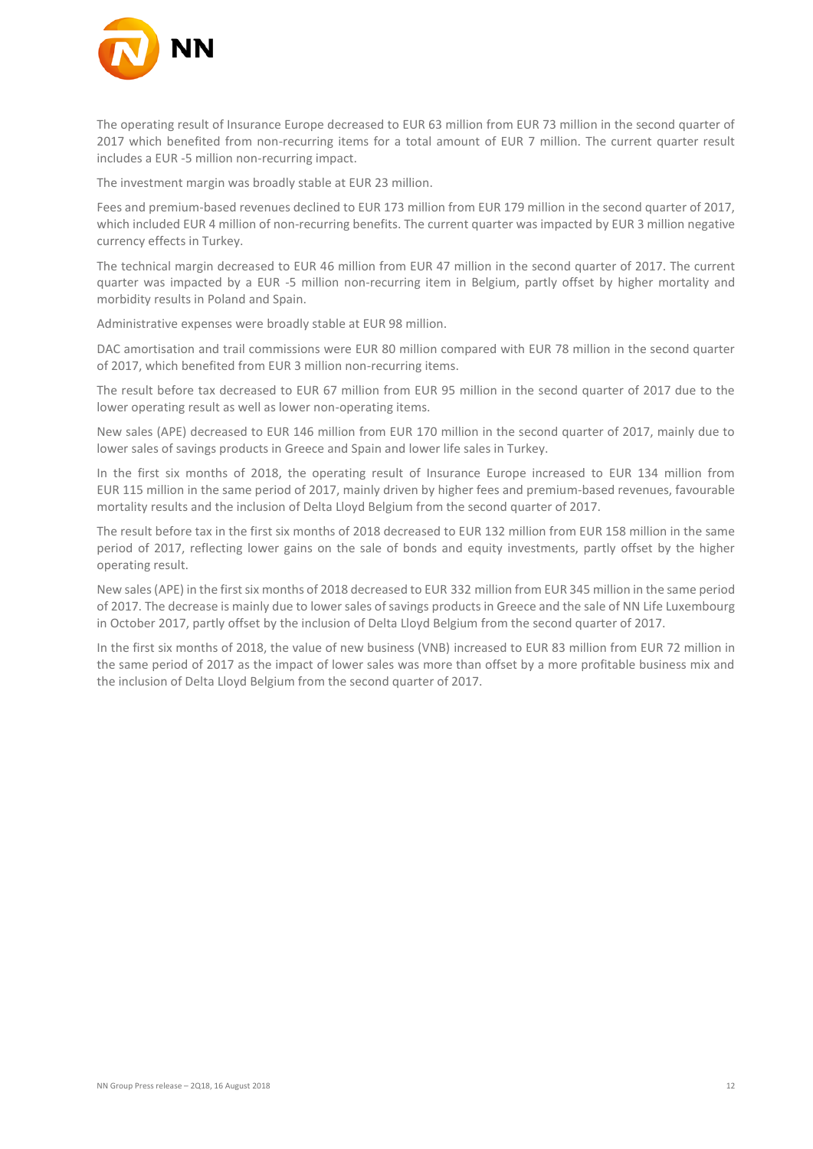

The operating result of Insurance Europe decreased to EUR 63 million from EUR 73 million in the second quarter of 2017 which benefited from non-recurring items for a total amount of EUR 7 million. The current quarter result includes a EUR -5 million non-recurring impact.

The investment margin was broadly stable at EUR 23 million.

Fees and premium-based revenues declined to EUR 173 million from EUR 179 million in the second quarter of 2017, which included EUR 4 million of non-recurring benefits. The current quarter was impacted by EUR 3 million negative currency effects in Turkey.

The technical margin decreased to EUR 46 million from EUR 47 million in the second quarter of 2017. The current quarter was impacted by a EUR -5 million non-recurring item in Belgium, partly offset by higher mortality and morbidity results in Poland and Spain.

Administrative expenses were broadly stable at EUR 98 million.

DAC amortisation and trail commissions were EUR 80 million compared with EUR 78 million in the second quarter of 2017, which benefited from EUR 3 million non-recurring items.

The result before tax decreased to EUR 67 million from EUR 95 million in the second quarter of 2017 due to the lower operating result as well as lower non-operating items.

New sales (APE) decreased to EUR 146 million from EUR 170 million in the second quarter of 2017, mainly due to lower sales of savings products in Greece and Spain and lower life sales in Turkey.

In the first six months of 2018, the operating result of Insurance Europe increased to EUR 134 million from EUR 115 million in the same period of 2017, mainly driven by higher fees and premium-based revenues, favourable mortality results and the inclusion of Delta Lloyd Belgium from the second quarter of 2017.

The result before tax in the first six months of 2018 decreased to EUR 132 million from EUR 158 million in the same period of 2017, reflecting lower gains on the sale of bonds and equity investments, partly offset by the higher operating result.

New sales (APE) in the first six months of 2018 decreased to EUR 332 million from EUR 345 million in the same period of 2017. The decrease is mainly due to lower sales of savings products in Greece and the sale of NN Life Luxembourg in October 2017, partly offset by the inclusion of Delta Lloyd Belgium from the second quarter of 2017.

In the first six months of 2018, the value of new business (VNB) increased to EUR 83 million from EUR 72 million in the same period of 2017 as the impact of lower sales was more than offset by a more profitable business mix and the inclusion of Delta Lloyd Belgium from the second quarter of 2017.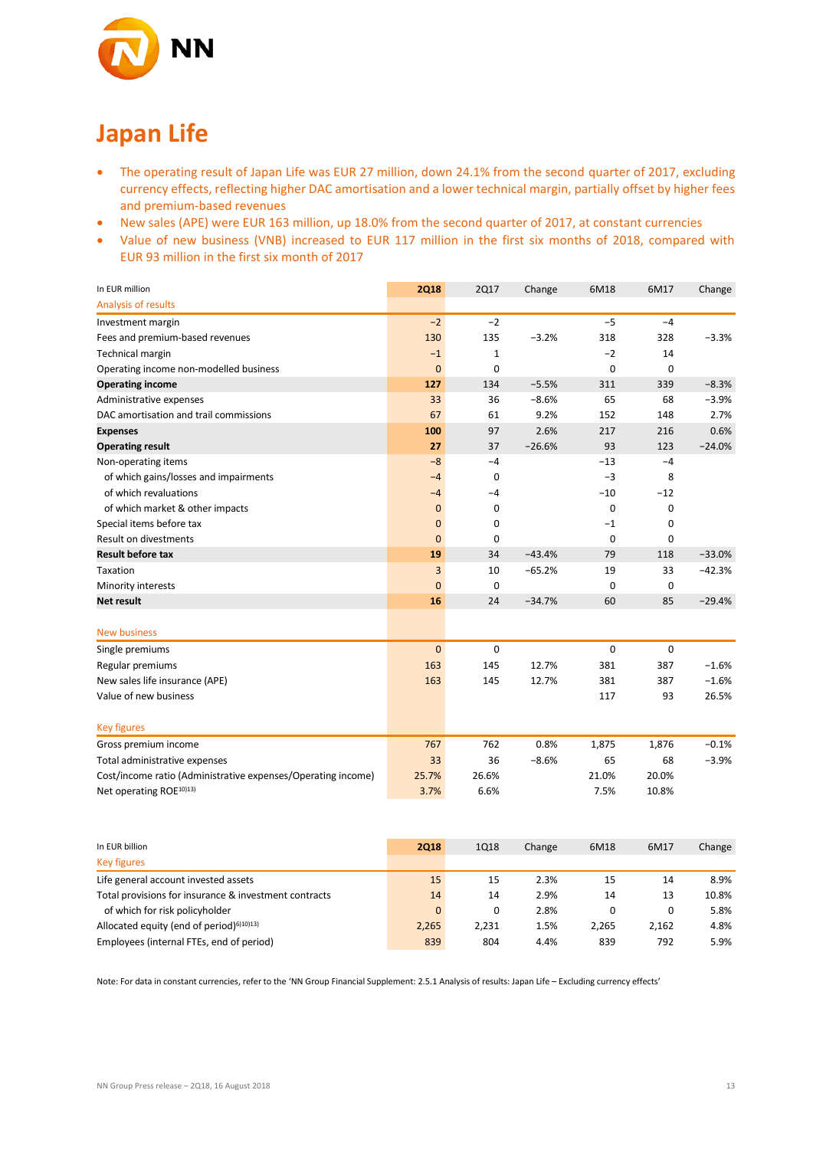

## **Japan Life**

- The operating result of Japan Life was EUR 27 million, down 24.1% from the second quarter of 2017, excluding currency effects, reflecting higher DAC amortisation and a lower technical margin, partially offset by higher fees and premium-based revenues
- New sales (APE) were EUR 163 million, up 18.0% from the second quarter of 2017, at constant currencies
- Value of new business (VNB) increased to EUR 117 million in the first six months of 2018, compared with EUR 93 million in the first six month of 2017

| In EUR million                                               | <b>2Q18</b>  | <b>2Q17</b> | Change   | 6M18        | 6M17  | Change   |
|--------------------------------------------------------------|--------------|-------------|----------|-------------|-------|----------|
| Analysis of results                                          |              |             |          |             |       |          |
| Investment margin                                            | $-2$         | $-2$        |          | $-5$        | $-4$  |          |
| Fees and premium-based revenues                              | 130          | 135         | $-3.2%$  | 318         | 328   | $-3.3%$  |
| Technical margin                                             | $-1$         | 1           |          | $-2$        | 14    |          |
| Operating income non-modelled business                       | $\mathbf{0}$ | 0           |          | $\mathbf 0$ | 0     |          |
| <b>Operating income</b>                                      | 127          | 134         | $-5.5%$  | 311         | 339   | $-8.3%$  |
| Administrative expenses                                      | 33           | 36          | $-8.6%$  | 65          | 68    | $-3.9%$  |
| DAC amortisation and trail commissions                       | 67           | 61          | 9.2%     | 152         | 148   | 2.7%     |
| <b>Expenses</b>                                              | 100          | 97          | 2.6%     | 217         | 216   | 0.6%     |
| <b>Operating result</b>                                      | 27           | 37          | $-26.6%$ | 93          | 123   | $-24.0%$ |
| Non-operating items                                          | $-8$         | $-4$        |          | $-13$       | $-4$  |          |
| of which gains/losses and impairments                        | $-4$         | 0           |          | $-3$        | 8     |          |
| of which revaluations                                        | $-4$         | $-4$        |          | $-10$       | $-12$ |          |
| of which market & other impacts                              | $\mathbf{0}$ | 0           |          | $\mathbf 0$ | 0     |          |
| Special items before tax                                     | $\mathbf{0}$ | 0           |          | $-1$        | 0     |          |
| <b>Result on divestments</b>                                 | $\mathbf{0}$ | 0           |          | 0           | 0     |          |
| <b>Result before tax</b>                                     | 19           | 34          | $-43.4%$ | 79          | 118   | $-33.0%$ |
| Taxation                                                     | 3            | 10          | $-65.2%$ | 19          | 33    | $-42.3%$ |
| Minority interests                                           | $\mathbf 0$  | $\mathbf 0$ |          | 0           | 0     |          |
| <b>Net result</b>                                            | 16           | 24          | $-34.7%$ | 60          | 85    | $-29.4%$ |
| <b>New business</b>                                          |              |             |          |             |       |          |
| Single premiums                                              | $\mathbf 0$  | $\mathbf 0$ |          | 0           | 0     |          |
| Regular premiums                                             | 163          | 145         | 12.7%    | 381         | 387   | $-1.6%$  |
| New sales life insurance (APE)                               | 163          | 145         | 12.7%    | 381         | 387   | $-1.6%$  |
| Value of new business                                        |              |             |          | 117         | 93    | 26.5%    |
| <b>Key figures</b>                                           |              |             |          |             |       |          |
| Gross premium income                                         | 767          | 762         | 0.8%     | 1,875       | 1,876 | $-0.1%$  |
| Total administrative expenses                                | 33           | 36          | $-8.6%$  | 65          | 68    | $-3.9%$  |
| Cost/income ratio (Administrative expenses/Operating income) | 25.7%        | 26.6%       |          | 21.0%       | 20.0% |          |
| Net operating ROE <sup>10)13)</sup>                          | 3.7%         | 6.6%        |          | 7.5%        | 10.8% |          |

| In EUR billion                                        | 2018     | 1Q18  | Change | 6M18  | 6M17  | Change |
|-------------------------------------------------------|----------|-------|--------|-------|-------|--------|
| <b>Key figures</b>                                    |          |       |        |       |       |        |
| Life general account invested assets                  | 15       | 15    | 2.3%   | 15    | 14    | 8.9%   |
| Total provisions for insurance & investment contracts | 14       | 14    | 2.9%   | 14    | 13    | 10.8%  |
| of which for risk policyholder                        | $\Omega$ | 0     | 2.8%   | 0     |       | 5.8%   |
| Allocated equity (end of period) $610(13)$            | 2,265    | 2.231 | 1.5%   | 2.265 | 2,162 | 4.8%   |
| Employees (internal FTEs, end of period)              | 839      | 804   | 4.4%   | 839   | 792   | 5.9%   |

Note: For data in constant currencies, refer to the 'NN Group Financial Supplement: 2.5.1 Analysis of results: Japan Life – Excluding currency effects'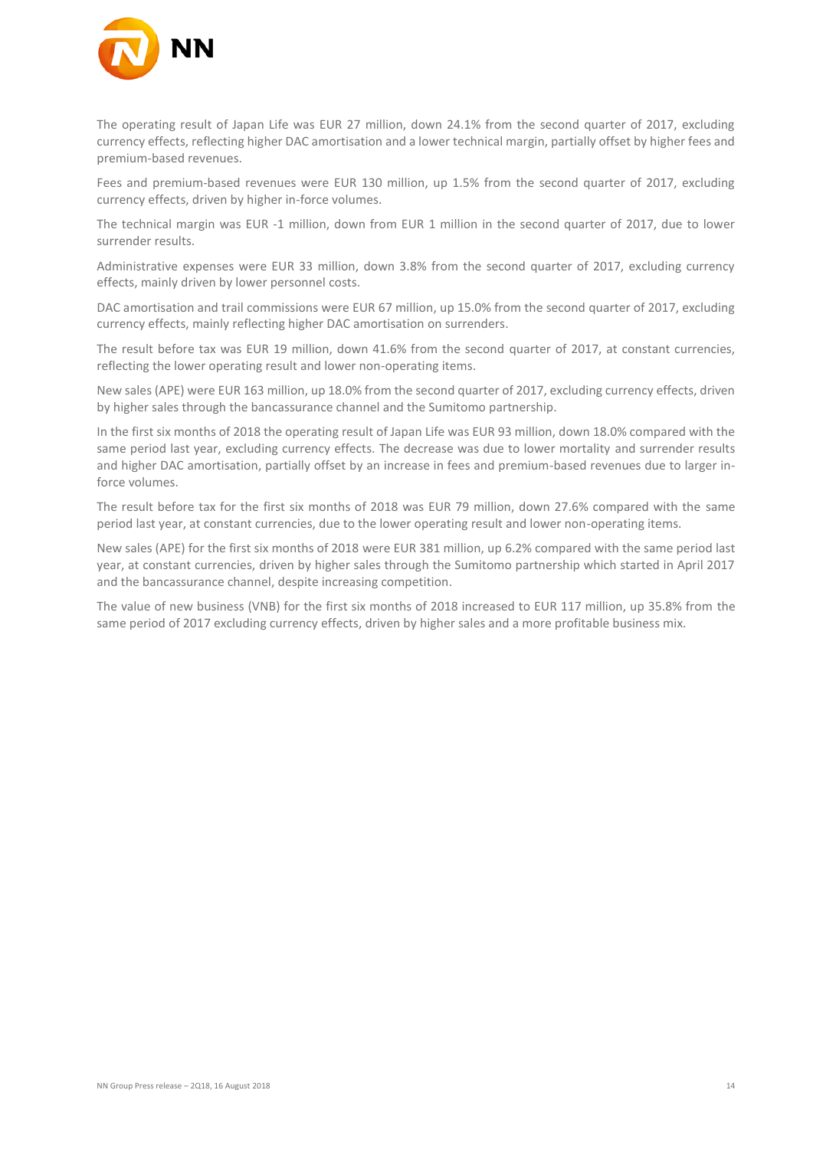

The operating result of Japan Life was EUR 27 million, down 24.1% from the second quarter of 2017, excluding currency effects, reflecting higher DAC amortisation and a lower technical margin, partially offset by higher fees and premium-based revenues.

Fees and premium-based revenues were EUR 130 million, up 1.5% from the second quarter of 2017, excluding currency effects, driven by higher in-force volumes.

The technical margin was EUR -1 million, down from EUR 1 million in the second quarter of 2017, due to lower surrender results.

Administrative expenses were EUR 33 million, down 3.8% from the second quarter of 2017, excluding currency effects, mainly driven by lower personnel costs.

DAC amortisation and trail commissions were EUR 67 million, up 15.0% from the second quarter of 2017, excluding currency effects, mainly reflecting higher DAC amortisation on surrenders.

The result before tax was EUR 19 million, down 41.6% from the second quarter of 2017, at constant currencies, reflecting the lower operating result and lower non-operating items.

New sales (APE) were EUR 163 million, up 18.0% from the second quarter of 2017, excluding currency effects, driven by higher sales through the bancassurance channel and the Sumitomo partnership.

In the first six months of 2018 the operating result of Japan Life was EUR 93 million, down 18.0% compared with the same period last year, excluding currency effects. The decrease was due to lower mortality and surrender results and higher DAC amortisation, partially offset by an increase in fees and premium-based revenues due to larger inforce volumes.

The result before tax for the first six months of 2018 was EUR 79 million, down 27.6% compared with the same period last year, at constant currencies, due to the lower operating result and lower non-operating items.

New sales (APE) for the first six months of 2018 were EUR 381 million, up 6.2% compared with the same period last year, at constant currencies, driven by higher sales through the Sumitomo partnership which started in April 2017 and the bancassurance channel, despite increasing competition.

The value of new business (VNB) for the first six months of 2018 increased to EUR 117 million, up 35.8% from the same period of 2017 excluding currency effects, driven by higher sales and a more profitable business mix.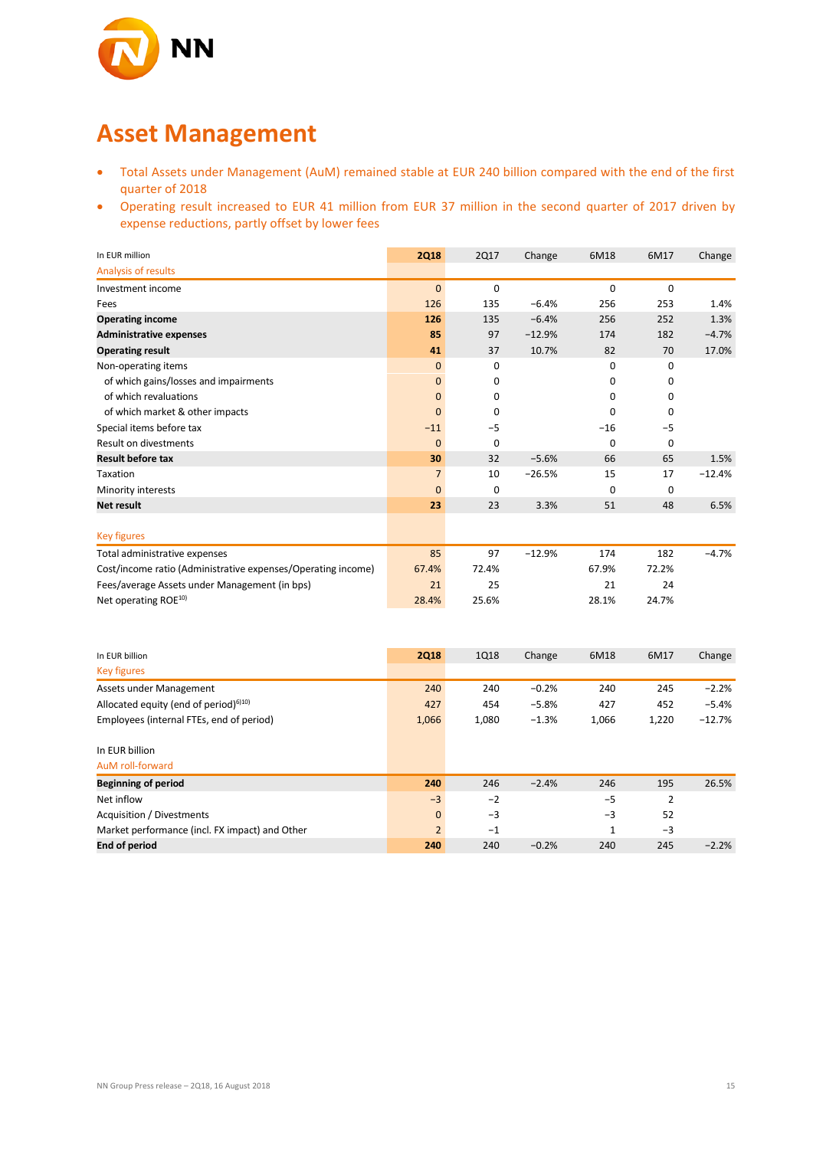

### **Asset Management**

- Total Assets under Management (AuM) remained stable at EUR 240 billion compared with the end of the first quarter of 2018
- Operating result increased to EUR 41 million from EUR 37 million in the second quarter of 2017 driven by expense reductions, partly offset by lower fees

| In EUR million                                               | <b>2Q18</b>    | <b>2Q17</b> | Change   | 6M18        | 6M17     | Change   |
|--------------------------------------------------------------|----------------|-------------|----------|-------------|----------|----------|
| Analysis of results                                          |                |             |          |             |          |          |
| Investment income                                            | $\mathbf{0}$   | $\mathbf 0$ |          | $\mathbf 0$ | 0        |          |
| Fees                                                         | 126            | 135         | $-6.4%$  | 256         | 253      | 1.4%     |
| <b>Operating income</b>                                      | 126            | 135         | $-6.4%$  | 256         | 252      | 1.3%     |
| <b>Administrative expenses</b>                               | 85             | 97          | $-12.9%$ | 174         | 182      | $-4.7%$  |
| <b>Operating result</b>                                      | 41             | 37          | 10.7%    | 82          | 70       | 17.0%    |
| Non-operating items                                          | $\mathbf{0}$   | $\Omega$    |          | $\Omega$    | $\Omega$ |          |
| of which gains/losses and impairments                        | $\mathbf{0}$   | 0           |          | 0           | 0        |          |
| of which revaluations                                        | $\mathbf{0}$   | $\Omega$    |          | 0           | 0        |          |
| of which market & other impacts                              | $\mathbf{0}$   | 0           |          | $\mathbf 0$ | 0        |          |
| Special items before tax                                     | $-11$          | $-5$        |          | $-16$       | $-5$     |          |
| <b>Result on divestments</b>                                 | $\mathbf 0$    | 0           |          | $\mathbf 0$ | 0        |          |
| <b>Result before tax</b>                                     | 30             | 32          | $-5.6%$  | 66          | 65       | 1.5%     |
| Taxation                                                     | $\overline{7}$ | 10          | $-26.5%$ | 15          | 17       | $-12.4%$ |
| Minority interests                                           | $\mathbf{0}$   | $\mathbf 0$ |          | 0           | 0        |          |
| <b>Net result</b>                                            | 23             | 23          | 3.3%     | 51          | 48       | 6.5%     |
|                                                              |                |             |          |             |          |          |
| <b>Key figures</b>                                           |                |             |          |             |          |          |
| Total administrative expenses                                | 85             | 97          | $-12.9%$ | 174         | 182      | $-4.7%$  |
| Cost/income ratio (Administrative expenses/Operating income) | 67.4%          | 72.4%       |          | 67.9%       | 72.2%    |          |
| Fees/average Assets under Management (in bps)                | 21             | 25          |          | 21          | 24       |          |
| Net operating ROE <sup>10)</sup>                             | 28.4%          | 25.6%       |          | 28.1%       | 24.7%    |          |

| In EUR billion                                 | <b>2Q18</b>    | <b>1Q18</b> | Change  | 6M18  | 6M17  | Change   |
|------------------------------------------------|----------------|-------------|---------|-------|-------|----------|
| <b>Key figures</b>                             |                |             |         |       |       |          |
| Assets under Management                        | 240            | 240         | $-0.2%$ | 240   | 245   | $-2.2%$  |
| Allocated equity (end of period) $610$         | 427            | 454         | $-5.8%$ | 427   | 452   | $-5.4%$  |
| Employees (internal FTEs, end of period)       | 1,066          | 1,080       | $-1.3%$ | 1,066 | 1,220 | $-12.7%$ |
| In EUR billion                                 |                |             |         |       |       |          |
| AuM roll-forward                               |                |             |         |       |       |          |
| <b>Beginning of period</b>                     | 240            | 246         | $-2.4%$ | 246   | 195   | 26.5%    |
| Net inflow                                     | $-3$           | $-2$        |         | $-5$  | 2     |          |
| Acquisition / Divestments                      | $\mathbf{0}$   | $-3$        |         | $-3$  | 52    |          |
| Market performance (incl. FX impact) and Other | $\overline{2}$ | $-1$        |         | 1     | $-3$  |          |
| <b>End of period</b>                           | 240            | 240         | $-0.2%$ | 240   | 245   | $-2.2%$  |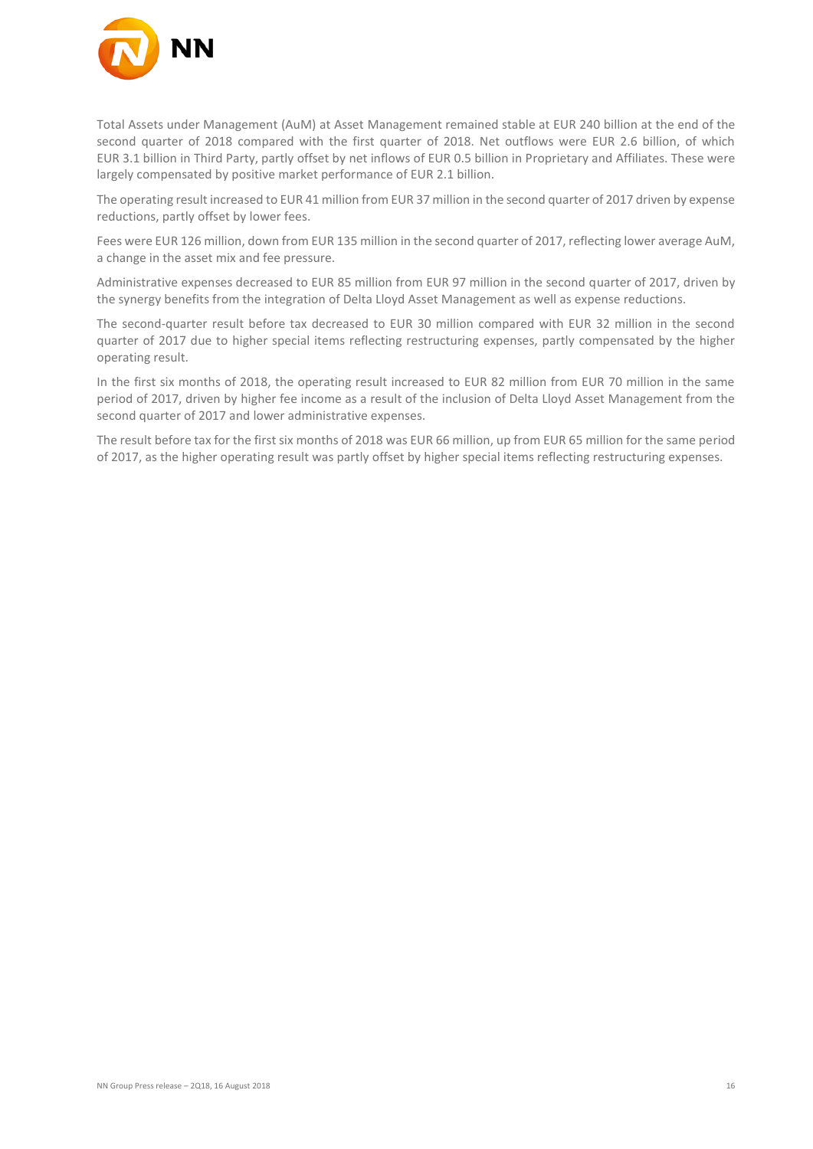

Total Assets under Management (AuM) at Asset Management remained stable at EUR 240 billion at the end of the second quarter of 2018 compared with the first quarter of 2018. Net outflows were EUR 2.6 billion, of which EUR 3.1 billion in Third Party, partly offset by net inflows of EUR 0.5 billion in Proprietary and Affiliates. These were largely compensated by positive market performance of EUR 2.1 billion.

The operating result increased to EUR 41 million from EUR 37 million in the second quarter of 2017 driven by expense reductions, partly offset by lower fees.

Fees were EUR 126 million, down from EUR 135 million in the second quarter of 2017, reflecting lower average AuM, a change in the asset mix and fee pressure.

Administrative expenses decreased to EUR 85 million from EUR 97 million in the second quarter of 2017, driven by the synergy benefits from the integration of Delta Lloyd Asset Management as well as expense reductions.

The second-quarter result before tax decreased to EUR 30 million compared with EUR 32 million in the second quarter of 2017 due to higher special items reflecting restructuring expenses, partly compensated by the higher operating result.

In the first six months of 2018, the operating result increased to EUR 82 million from EUR 70 million in the same period of 2017, driven by higher fee income as a result of the inclusion of Delta Lloyd Asset Management from the second quarter of 2017 and lower administrative expenses.

The result before tax for the first six months of 2018 was EUR 66 million, up from EUR 65 million for the same period of 2017, as the higher operating result was partly offset by higher special items reflecting restructuring expenses.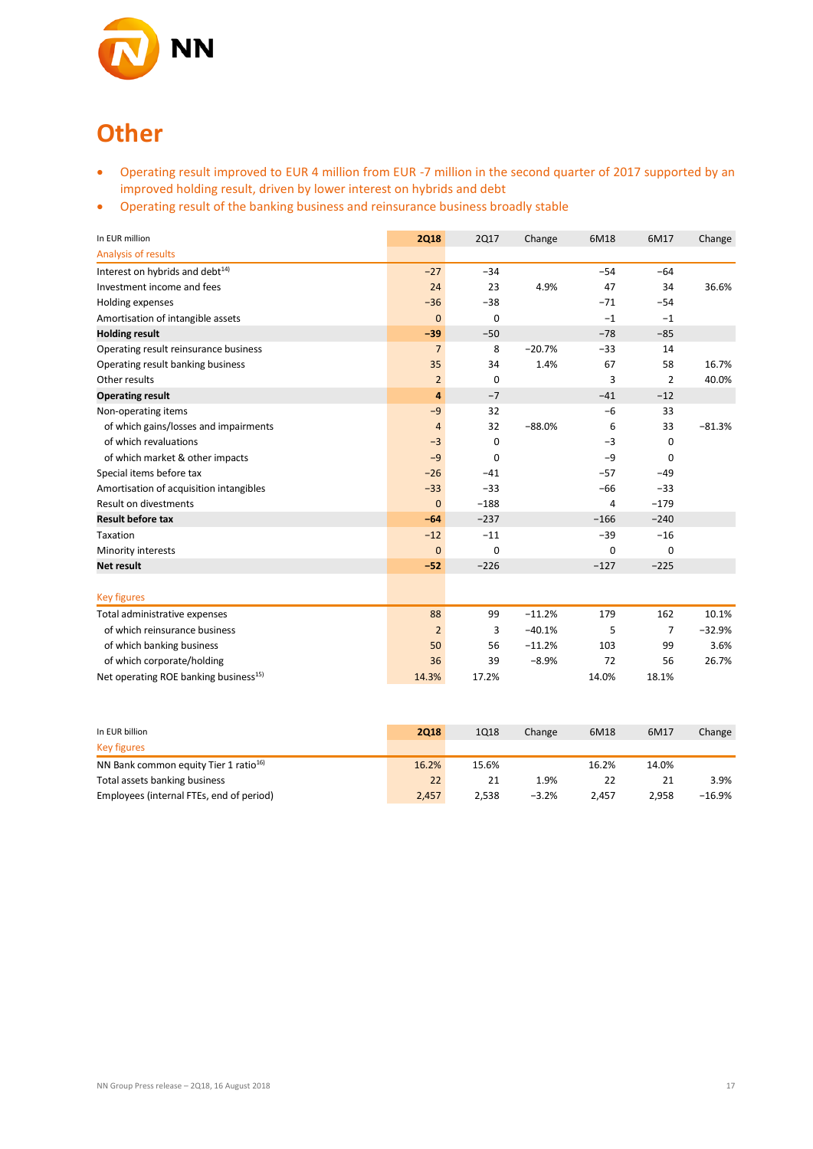

# **Other**

- Operating result improved to EUR 4 million from EUR -7 million in the second quarter of 2017 supported by an improved holding result, driven by lower interest on hybrids and debt
- Operating result of the banking business and reinsurance business broadly stable

| In EUR million                                    | <b>2Q18</b>    | <b>2Q17</b> | Change   | 6M18   | 6M17           | Change   |
|---------------------------------------------------|----------------|-------------|----------|--------|----------------|----------|
| <b>Analysis of results</b>                        |                |             |          |        |                |          |
| Interest on hybrids and debt <sup>14)</sup>       | $-27$          | $-34$       |          | $-54$  | $-64$          |          |
| Investment income and fees                        | 24             | 23          | 4.9%     | 47     | 34             | 36.6%    |
| Holding expenses                                  | $-36$          | $-38$       |          | $-71$  | $-54$          |          |
| Amortisation of intangible assets                 | $\mathbf{0}$   | $\mathbf 0$ |          | $-1$   | $-1$           |          |
| <b>Holding result</b>                             | $-39$          | $-50$       |          | $-78$  | $-85$          |          |
| Operating result reinsurance business             | $\overline{7}$ | 8           | $-20.7%$ | $-33$  | 14             |          |
| Operating result banking business                 | 35             | 34          | 1.4%     | 67     | 58             | 16.7%    |
| Other results                                     | $\overline{2}$ | 0           |          | 3      | $\overline{2}$ | 40.0%    |
| <b>Operating result</b>                           | 4              | $-7$        |          | $-41$  | $-12$          |          |
| Non-operating items                               | $-9$           | 32          |          | $-6$   | 33             |          |
| of which gains/losses and impairments             | $\overline{4}$ | 32          | $-88.0%$ | 6      | 33             | $-81.3%$ |
| of which revaluations                             | $-3$           | 0           |          | $-3$   | 0              |          |
| of which market & other impacts                   | $-9$           | $\Omega$    |          | $-9$   | 0              |          |
| Special items before tax                          | $-26$          | $-41$       |          | $-57$  | $-49$          |          |
| Amortisation of acquisition intangibles           | $-33$          | $-33$       |          | $-66$  | $-33$          |          |
| Result on divestments                             | $\Omega$       | $-188$      |          | 4      | $-179$         |          |
| <b>Result before tax</b>                          | $-64$          | $-237$      |          | $-166$ | $-240$         |          |
| Taxation                                          | $-12$          | $-11$       |          | $-39$  | $-16$          |          |
| Minority interests                                | $\mathbf{0}$   | 0           |          | 0      | 0              |          |
| <b>Net result</b>                                 | $-52$          | $-226$      |          | $-127$ | $-225$         |          |
|                                                   |                |             |          |        |                |          |
| <b>Key figures</b>                                |                |             |          |        |                |          |
| Total administrative expenses                     | 88             | 99          | $-11.2%$ | 179    | 162            | 10.1%    |
| of which reinsurance business                     | $\overline{2}$ | 3           | $-40.1%$ | 5      | $\overline{7}$ | $-32.9%$ |
| of which banking business                         | 50             | 56          | $-11.2%$ | 103    | 99             | 3.6%     |
| of which corporate/holding                        | 36             | 39          | $-8.9%$  | 72     | 56             | 26.7%    |
| Net operating ROE banking business <sup>15)</sup> | 14.3%          | 17.2%       |          | 14.0%  | 18.1%          |          |

| In EUR billion                                    | 2018  | 1Q18  | Change  | 6M18  | 6M17  | Change |
|---------------------------------------------------|-------|-------|---------|-------|-------|--------|
| <b>Key figures</b>                                |       |       |         |       |       |        |
| NN Bank common equity Tier 1 ratio <sup>16)</sup> | 16.2% | 15.6% |         | 16.2% | 14.0% |        |
| Total assets banking business                     | 22    | 21    | 1.9%    | 22    |       | 3.9%   |
| Employees (internal FTEs, end of period)          | 2.457 | 2.538 | $-3.2%$ | 2.457 | 2.958 | -16.9% |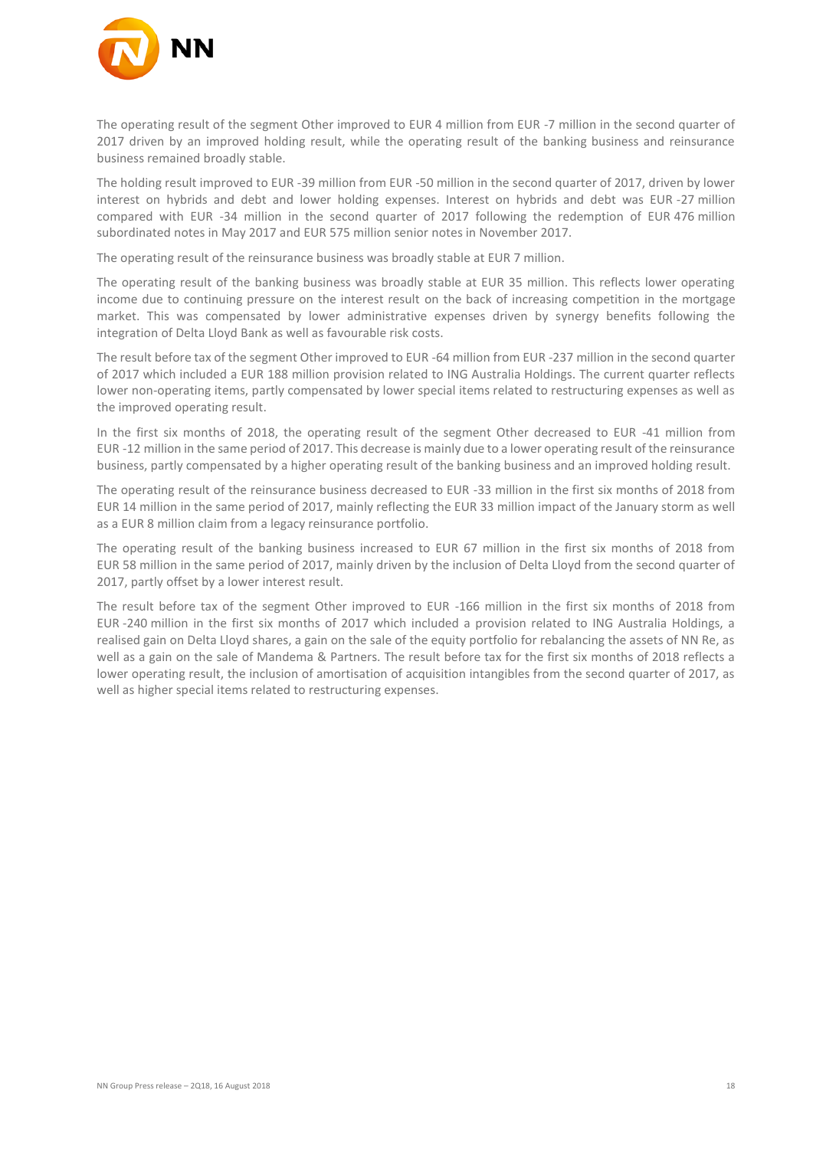

The operating result of the segment Other improved to EUR 4 million from EUR -7 million in the second quarter of 2017 driven by an improved holding result, while the operating result of the banking business and reinsurance business remained broadly stable.

The holding result improved to EUR -39 million from EUR -50 million in the second quarter of 2017, driven by lower interest on hybrids and debt and lower holding expenses. Interest on hybrids and debt was EUR -27 million compared with EUR -34 million in the second quarter of 2017 following the redemption of EUR 476 million subordinated notes in May 2017 and EUR 575 million senior notes in November 2017.

The operating result of the reinsurance business was broadly stable at EUR 7 million.

The operating result of the banking business was broadly stable at EUR 35 million. This reflects lower operating income due to continuing pressure on the interest result on the back of increasing competition in the mortgage market. This was compensated by lower administrative expenses driven by synergy benefits following the integration of Delta Lloyd Bank as well as favourable risk costs.

The result before tax of the segment Other improved to EUR -64 million from EUR -237 million in the second quarter of 2017 which included a EUR 188 million provision related to ING Australia Holdings. The current quarter reflects lower non-operating items, partly compensated by lower special items related to restructuring expenses as well as the improved operating result.

In the first six months of 2018, the operating result of the segment Other decreased to EUR -41 million from EUR -12 million in the same period of 2017. This decrease is mainly due to a lower operating result of the reinsurance business, partly compensated by a higher operating result of the banking business and an improved holding result.

The operating result of the reinsurance business decreased to EUR -33 million in the first six months of 2018 from EUR 14 million in the same period of 2017, mainly reflecting the EUR 33 million impact of the January storm as well as a EUR 8 million claim from a legacy reinsurance portfolio.

The operating result of the banking business increased to EUR 67 million in the first six months of 2018 from EUR 58 million in the same period of 2017, mainly driven by the inclusion of Delta Lloyd from the second quarter of 2017, partly offset by a lower interest result.

The result before tax of the segment Other improved to EUR -166 million in the first six months of 2018 from EUR -240 million in the first six months of 2017 which included a provision related to ING Australia Holdings, a realised gain on Delta Lloyd shares, a gain on the sale of the equity portfolio for rebalancing the assets of NN Re, as well as a gain on the sale of Mandema & Partners. The result before tax for the first six months of 2018 reflects a lower operating result, the inclusion of amortisation of acquisition intangibles from the second quarter of 2017, as well as higher special items related to restructuring expenses.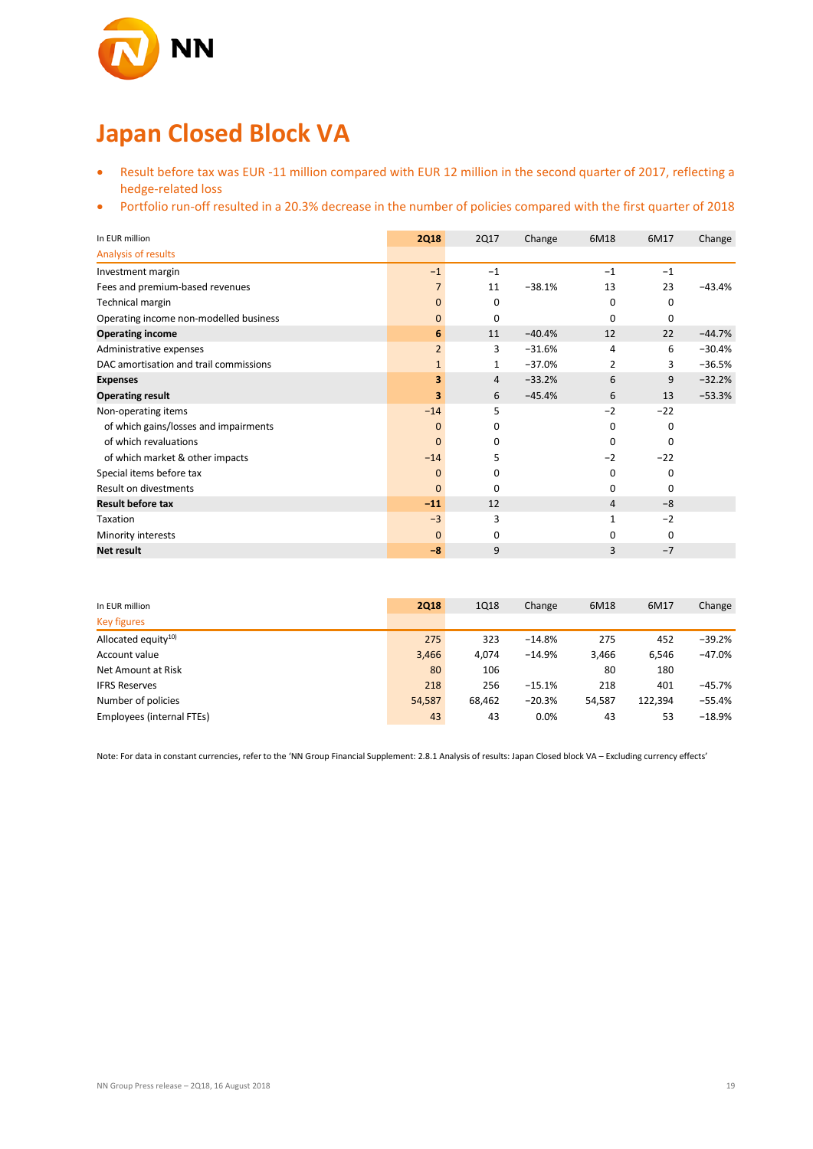

## **Japan Closed Block VA**

- Result before tax was EUR -11 million compared with EUR 12 million in the second quarter of 2017, reflecting a hedge-related loss
- Portfolio run-off resulted in a 20.3% decrease in the number of policies compared with the first quarter of 2018

| In EUR million                         | <b>2Q18</b>    | <b>2Q17</b> | Change   | 6M18     | 6M17  | Change   |
|----------------------------------------|----------------|-------------|----------|----------|-------|----------|
| Analysis of results                    |                |             |          |          |       |          |
| Investment margin                      | $-1$           | $-1$        |          | $-1$     | $-1$  |          |
| Fees and premium-based revenues        | 7              | 11          | $-38.1%$ | 13       | 23    | $-43.4%$ |
| Technical margin                       | 0              | 0           |          | 0        | 0     |          |
| Operating income non-modelled business | $\mathbf{0}$   | 0           |          | 0        | 0     |          |
| <b>Operating income</b>                | 6              | 11          | $-40.4%$ | 12       | 22    | $-44.7%$ |
| Administrative expenses                | $\overline{2}$ | 3           | $-31.6%$ | 4        | 6     | $-30.4%$ |
| DAC amortisation and trail commissions | $\mathbf{1}$   | 1           | $-37.0%$ | 2        | 3     | $-36.5%$ |
| <b>Expenses</b>                        | 3              | 4           | $-33.2%$ | 6        | 9     | $-32.2%$ |
| <b>Operating result</b>                | 3              | 6           | $-45.4%$ | 6        | 13    | $-53.3%$ |
| Non-operating items                    | $-14$          | 5           |          | $-2$     | $-22$ |          |
| of which gains/losses and impairments  | $\mathbf{0}$   | 0           |          | 0        | 0     |          |
| of which revaluations                  | $\mathbf{0}$   | 0           |          | 0        | 0     |          |
| of which market & other impacts        | $-14$          | 5           |          | $-2$     | $-22$ |          |
| Special items before tax               | $\mathbf{0}$   | 0           |          | 0        | 0     |          |
| Result on divestments                  | $\Omega$       | $\Omega$    |          | $\Omega$ | 0     |          |
| <b>Result before tax</b>               | $-11$          | 12          |          | 4        | $-8$  |          |
| Taxation                               | $-3$           | 3           |          | 1        | $-2$  |          |
| Minority interests                     | $\mathbf{0}$   | 0           |          | 0        | 0     |          |
| Net result                             | $-8$           | 9           |          | 3        | $-7$  |          |

| In EUR million            | <b>2Q18</b> | 1Q18   | Change   | 6M18   | 6M17    | Change   |
|---------------------------|-------------|--------|----------|--------|---------|----------|
| <b>Key figures</b>        |             |        |          |        |         |          |
| Allocated equity $10$     | 275         | 323    | $-14.8%$ | 275    | 452     | $-39.2%$ |
| Account value             | 3,466       | 4.074  | $-14.9%$ | 3,466  | 6.546   | $-47.0%$ |
| Net Amount at Risk        | 80          | 106    |          | 80     | 180     |          |
| <b>IFRS Reserves</b>      | 218         | 256    | $-15.1%$ | 218    | 401     | -45.7%   |
| Number of policies        | 54,587      | 68.462 | $-20.3%$ | 54,587 | 122,394 | $-55.4%$ |
| Employees (internal FTEs) | 43          | 43     | 0.0%     | 43     | 53      | $-18.9%$ |

Note: For data in constant currencies, refer to the 'NN Group Financial Supplement: 2.8.1 Analysis of results: Japan Closed block VA – Excluding currency effects'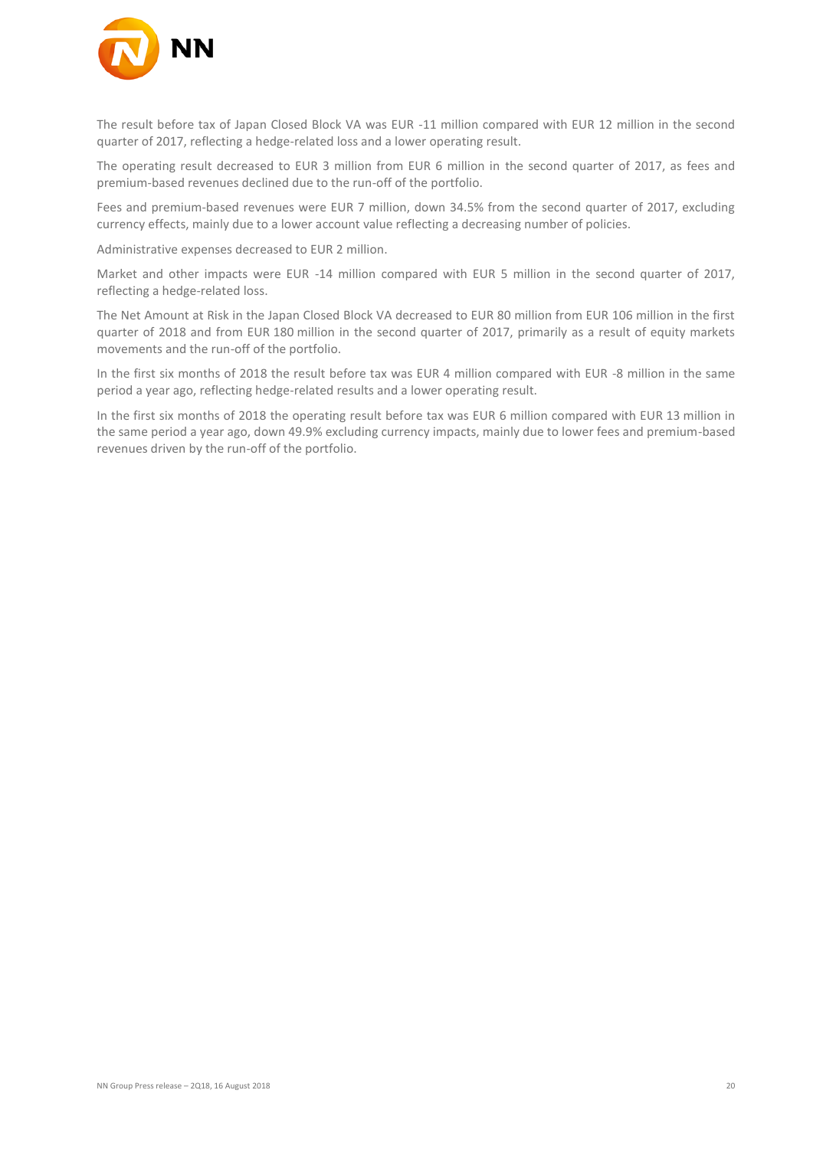

The result before tax of Japan Closed Block VA was EUR -11 million compared with EUR 12 million in the second quarter of 2017, reflecting a hedge-related loss and a lower operating result.

The operating result decreased to EUR 3 million from EUR 6 million in the second quarter of 2017, as fees and premium-based revenues declined due to the run-off of the portfolio.

Fees and premium-based revenues were EUR 7 million, down 34.5% from the second quarter of 2017, excluding currency effects, mainly due to a lower account value reflecting a decreasing number of policies.

Administrative expenses decreased to EUR 2 million.

Market and other impacts were EUR -14 million compared with EUR 5 million in the second quarter of 2017, reflecting a hedge-related loss.

The Net Amount at Risk in the Japan Closed Block VA decreased to EUR 80 million from EUR 106 million in the first quarter of 2018 and from EUR 180 million in the second quarter of 2017, primarily as a result of equity markets movements and the run-off of the portfolio.

In the first six months of 2018 the result before tax was EUR 4 million compared with EUR -8 million in the same period a year ago, reflecting hedge-related results and a lower operating result.

In the first six months of 2018 the operating result before tax was EUR 6 million compared with EUR 13 million in the same period a year ago, down 49.9% excluding currency impacts, mainly due to lower fees and premium-based revenues driven by the run-off of the portfolio.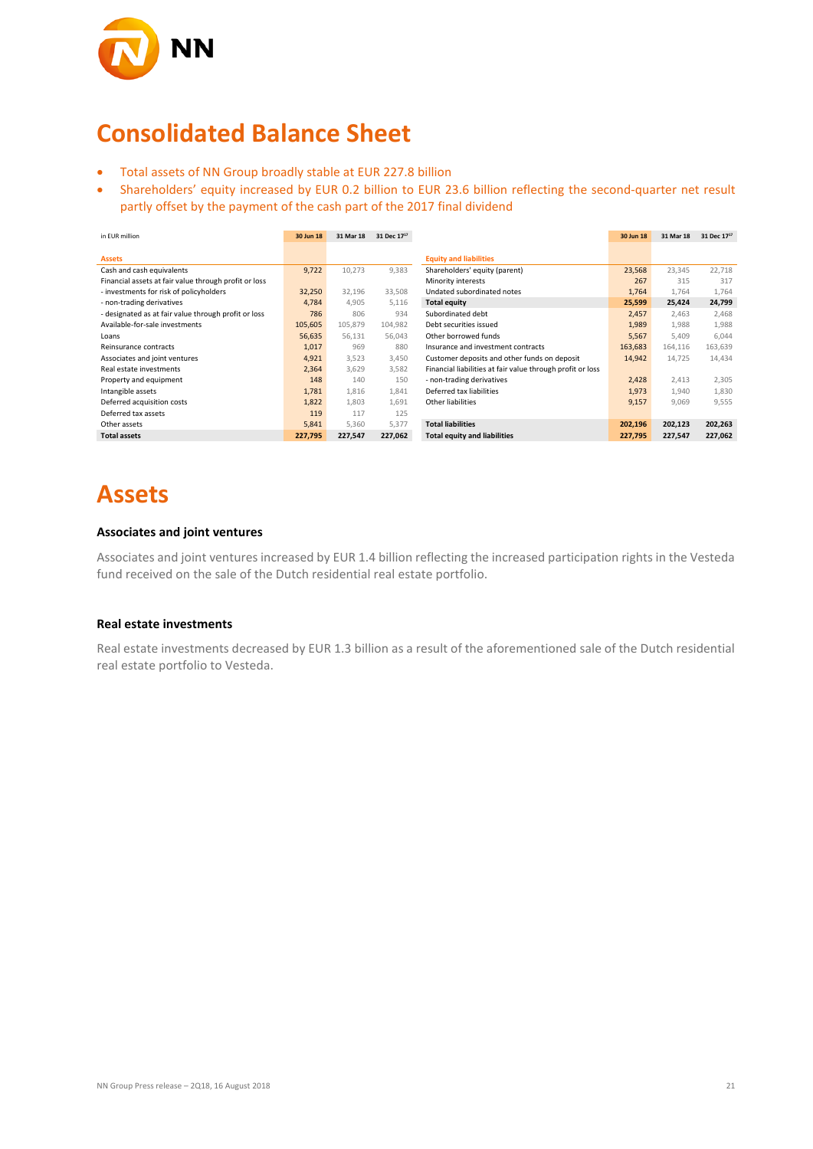

## **Consolidated Balance Sheet**

- Total assets of NN Group broadly stable at EUR 227.8 billion
- Shareholders' equity increased by EUR 0.2 billion to EUR 23.6 billion reflecting the second-quarter net result partly offset by the payment of the cash part of the 2017 final dividend

| in EUR million                                        | 30 Jun 18 | 31 Mar 18 | 31 Dec 17 <sup>17</sup> |                                                            | 30 Jun 18 | 31 Mar 18 | 31 Dec $17^{17}$ |
|-------------------------------------------------------|-----------|-----------|-------------------------|------------------------------------------------------------|-----------|-----------|------------------|
|                                                       |           |           |                         |                                                            |           |           |                  |
| <b>Assets</b>                                         |           |           |                         | <b>Equity and liabilities</b>                              |           |           |                  |
| Cash and cash equivalents                             | 9,722     | 10,273    | 9,383                   | Shareholders' equity (parent)                              | 23,568    | 23,345    | 22,718           |
| Financial assets at fair value through profit or loss |           |           |                         | Minority interests                                         | 267       | 315       | 317              |
| - investments for risk of policyholders               | 32,250    | 32,196    | 33,508                  | Undated subordinated notes                                 | 1,764     | 1,764     | 1,764            |
| - non-trading derivatives                             | 4,784     | 4,905     | 5,116                   | <b>Total equity</b>                                        | 25,599    | 25,424    | 24,799           |
| - designated as at fair value through profit or loss  | 786       | 806       | 934                     | Subordinated debt                                          | 2,457     | 2,463     | 2,468            |
| Available-for-sale investments                        | 105,605   | 105,879   | 104,982                 | Debt securities issued                                     | 1,989     | 1,988     | 1,988            |
| Loans                                                 | 56,635    | 56,131    | 56,043                  | Other borrowed funds                                       | 5,567     | 5,409     | 6,044            |
| Reinsurance contracts                                 | 1,017     | 969       | 880                     | Insurance and investment contracts                         | 163,683   | 164,116   | 163,639          |
| Associates and joint ventures                         | 4,921     | 3,523     | 3,450                   | Customer deposits and other funds on deposit               | 14,942    | 14,725    | 14,434           |
| Real estate investments                               | 2,364     | 3,629     | 3,582                   | Financial liabilities at fair value through profit or loss |           |           |                  |
| Property and equipment                                | 148       | 140       | 150                     | - non-trading derivatives                                  | 2,428     | 2,413     | 2,305            |
| Intangible assets                                     | 1,781     | 1,816     | 1,841                   | Deferred tax liabilities                                   | 1,973     | 1,940     | 1,830            |
| Deferred acquisition costs                            | 1,822     | 1,803     | 1,691                   | Other liabilities                                          | 9,157     | 9,069     | 9,555            |
| Deferred tax assets                                   | 119       | 117       | 125                     |                                                            |           |           |                  |
| Other assets                                          | 5,841     | 5,360     | 5,377                   | <b>Total liabilities</b>                                   | 202,196   | 202,123   | 202,263          |
| <b>Total assets</b>                                   | 227,795   | 227,547   | 227,062                 | <b>Total equity and liabilities</b>                        | 227,795   | 227,547   | 227,062          |

# **Assets**

#### **Associates and joint ventures**

Associates and joint ventures increased by EUR 1.4 billion reflecting the increased participation rights in the Vesteda fund received on the sale of the Dutch residential real estate portfolio.

#### **Real estate investments**

Real estate investments decreased by EUR 1.3 billion as a result of the aforementioned sale of the Dutch residential real estate portfolio to Vesteda.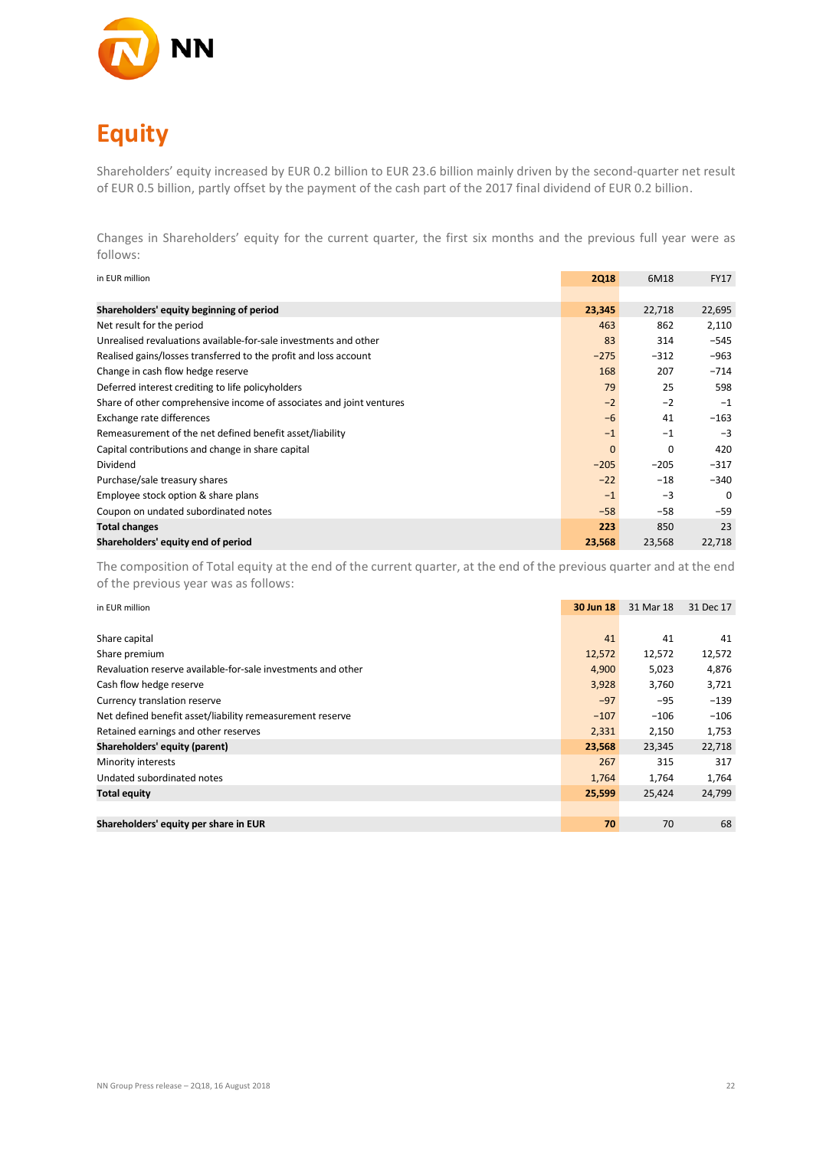

# **Equity**

Shareholders' equity increased by EUR 0.2 billion to EUR 23.6 billion mainly driven by the second-quarter net result of EUR 0.5 billion, partly offset by the payment of the cash part of the 2017 final dividend of EUR 0.2 billion.

Changes in Shareholders' equity for the current quarter, the first six months and the previous full year were as follows:

| in EUR million                                                       | <b>2Q18</b> | 6M18   | <b>FY17</b> |
|----------------------------------------------------------------------|-------------|--------|-------------|
|                                                                      |             |        |             |
| Shareholders' equity beginning of period                             | 23,345      | 22,718 | 22,695      |
| Net result for the period                                            | 463         | 862    | 2,110       |
| Unrealised revaluations available-for-sale investments and other     | 83          | 314    | $-545$      |
| Realised gains/losses transferred to the profit and loss account     | $-275$      | $-312$ | $-963$      |
| Change in cash flow hedge reserve                                    | 168         | 207    | $-714$      |
| Deferred interest crediting to life policyholders                    | 79          | 25     | 598         |
| Share of other comprehensive income of associates and joint ventures | $-2$        | $-2$   | $-1$        |
| Exchange rate differences                                            | $-6$        | 41     | $-163$      |
| Remeasurement of the net defined benefit asset/liability             | $-1$        | $-1$   | $-3$        |
| Capital contributions and change in share capital                    | $\mathbf 0$ | 0      | 420         |
| Dividend                                                             | $-205$      | $-205$ | $-317$      |
| Purchase/sale treasury shares                                        | $-22$       | $-18$  | $-340$      |
| Employee stock option & share plans                                  | $-1$        | $-3$   | $\Omega$    |
| Coupon on undated subordinated notes                                 | $-58$       | $-58$  | $-59$       |
| <b>Total changes</b>                                                 | 223         | 850    | 23          |
| Shareholders' equity end of period                                   | 23,568      | 23,568 | 22,718      |

The composition of Total equity at the end of the current quarter, at the end of the previous quarter and at the end of the previous year was as follows:

| in EUR million                                               | 30 Jun 18 | 31 Mar 18 | 31 Dec 17 |
|--------------------------------------------------------------|-----------|-----------|-----------|
|                                                              |           |           |           |
| Share capital                                                | 41        | 41        | 41        |
| Share premium                                                | 12,572    | 12,572    | 12,572    |
| Revaluation reserve available-for-sale investments and other | 4,900     | 5,023     | 4,876     |
| Cash flow hedge reserve                                      | 3,928     | 3,760     | 3,721     |
| Currency translation reserve                                 | $-97$     | $-95$     | $-139$    |
| Net defined benefit asset/liability remeasurement reserve    | $-107$    | $-106$    | $-106$    |
| Retained earnings and other reserves                         | 2,331     | 2,150     | 1,753     |
| Shareholders' equity (parent)                                | 23,568    | 23,345    | 22,718    |
| Minority interests                                           | 267       | 315       | 317       |
| Undated subordinated notes                                   | 1,764     | 1,764     | 1,764     |
| <b>Total equity</b>                                          | 25,599    | 25,424    | 24,799    |
|                                                              |           |           |           |
| Shareholders' equity per share in EUR                        | 70        | 70        | 68        |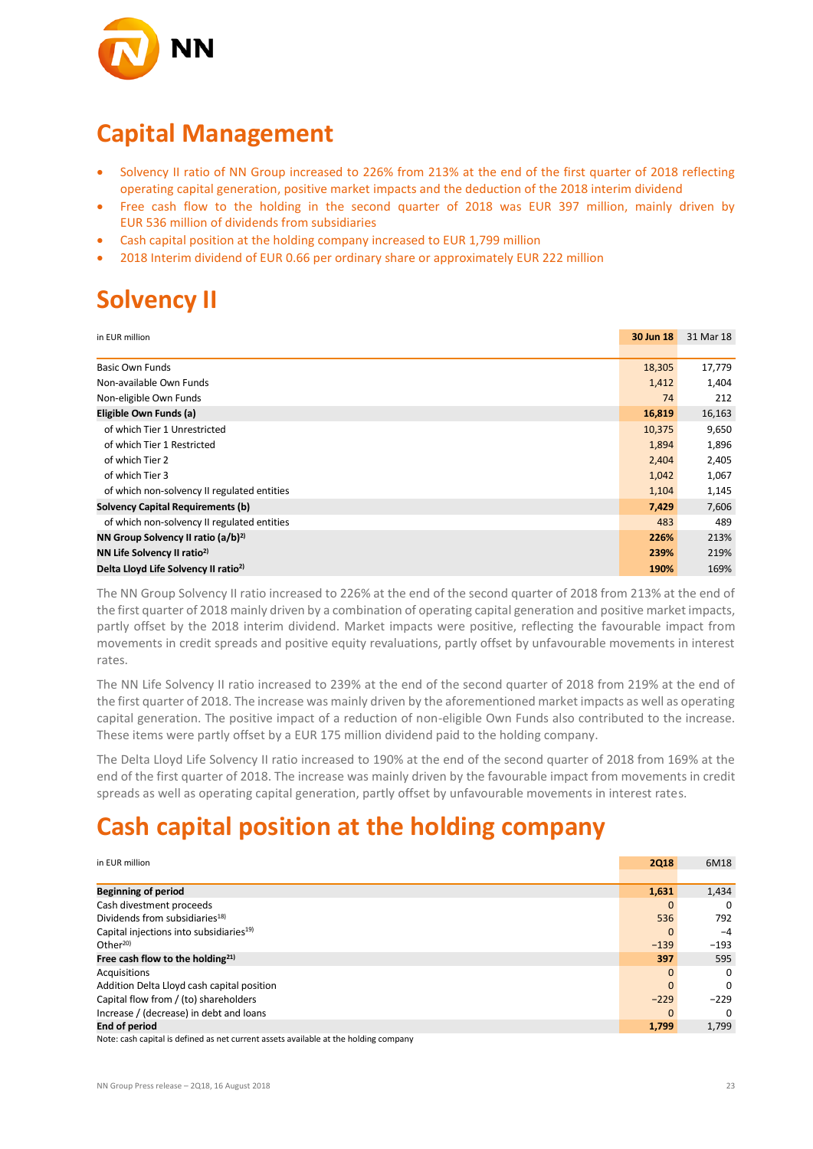

### **Capital Management**

- Solvency II ratio of NN Group increased to 226% from 213% at the end of the first quarter of 2018 reflecting operating capital generation, positive market impacts and the deduction of the 2018 interim dividend
- Free cash flow to the holding in the second quarter of 2018 was EUR 397 million, mainly driven by EUR 536 million of dividends from subsidiaries
- Cash capital position at the holding company increased to EUR 1,799 million
- 2018 Interim dividend of EUR 0.66 per ordinary share or approximately EUR 222 million

## **Solvency II**

| in EUR million                                   | 30 Jun 18 | 31 Mar 18 |
|--------------------------------------------------|-----------|-----------|
|                                                  |           |           |
| <b>Basic Own Funds</b>                           | 18,305    | 17,779    |
| Non-available Own Funds                          | 1,412     | 1,404     |
| Non-eligible Own Funds                           | 74        | 212       |
| Eligible Own Funds (a)                           | 16,819    | 16,163    |
| of which Tier 1 Unrestricted                     | 10,375    | 9,650     |
| of which Tier 1 Restricted                       | 1,894     | 1,896     |
| of which Tier 2                                  | 2,404     | 2,405     |
| of which Tier 3                                  | 1,042     | 1,067     |
| of which non-solvency II regulated entities      | 1,104     | 1,145     |
| <b>Solvency Capital Requirements (b)</b>         | 7,429     | 7,606     |
| of which non-solvency II regulated entities      | 483       | 489       |
| NN Group Solvency II ratio (a/b) <sup>2)</sup>   | 226%      | 213%      |
| NN Life Solvency II ratio <sup>2)</sup>          | 239%      | 219%      |
| Delta Lloyd Life Solvency II ratio <sup>2)</sup> | 190%      | 169%      |

The NN Group Solvency II ratio increased to 226% at the end of the second quarter of 2018 from 213% at the end of the first quarter of 2018 mainly driven by a combination of operating capital generation and positive market impacts, partly offset by the 2018 interim dividend. Market impacts were positive, reflecting the favourable impact from movements in credit spreads and positive equity revaluations, partly offset by unfavourable movements in interest rates.

The NN Life Solvency II ratio increased to 239% at the end of the second quarter of 2018 from 219% at the end of the first quarter of 2018. The increase was mainly driven by the aforementioned market impacts as well as operating capital generation. The positive impact of a reduction of non-eligible Own Funds also contributed to the increase. These items were partly offset by a EUR 175 million dividend paid to the holding company.

The Delta Lloyd Life Solvency II ratio increased to 190% at the end of the second quarter of 2018 from 169% at the end of the first quarter of 2018. The increase was mainly driven by the favourable impact from movements in credit spreads as well as operating capital generation, partly offset by unfavourable movements in interest rates.

### **Cash capital position at the holding company**

| in EUR million                                                                        | <b>2Q18</b> | 6M18     |
|---------------------------------------------------------------------------------------|-------------|----------|
|                                                                                       |             |          |
| <b>Beginning of period</b>                                                            | 1,631       | 1,434    |
| Cash divestment proceeds                                                              |             | 0        |
| Dividends from subsidiaries <sup>18)</sup>                                            | 536         | 792      |
| Capital injections into subsidiaries <sup>19)</sup>                                   | 0           | $-4$     |
| Other $20$                                                                            | $-139$      | $-193$   |
| Free cash flow to the holding <sup>21)</sup>                                          | 397         | 595      |
| Acquisitions                                                                          | $\Omega$    | $\Omega$ |
| Addition Delta Lloyd cash capital position                                            |             | $\Omega$ |
| Capital flow from / (to) shareholders                                                 | $-229$      | $-229$   |
| Increase / (decrease) in debt and loans                                               |             | $\Omega$ |
| <b>End of period</b>                                                                  | 1,799       | 1,799    |
| Notes cook conital is defined as not surrout assats quailable at the helding company. |             |          |

Note: cash capital is defined as net current assets available at the holding company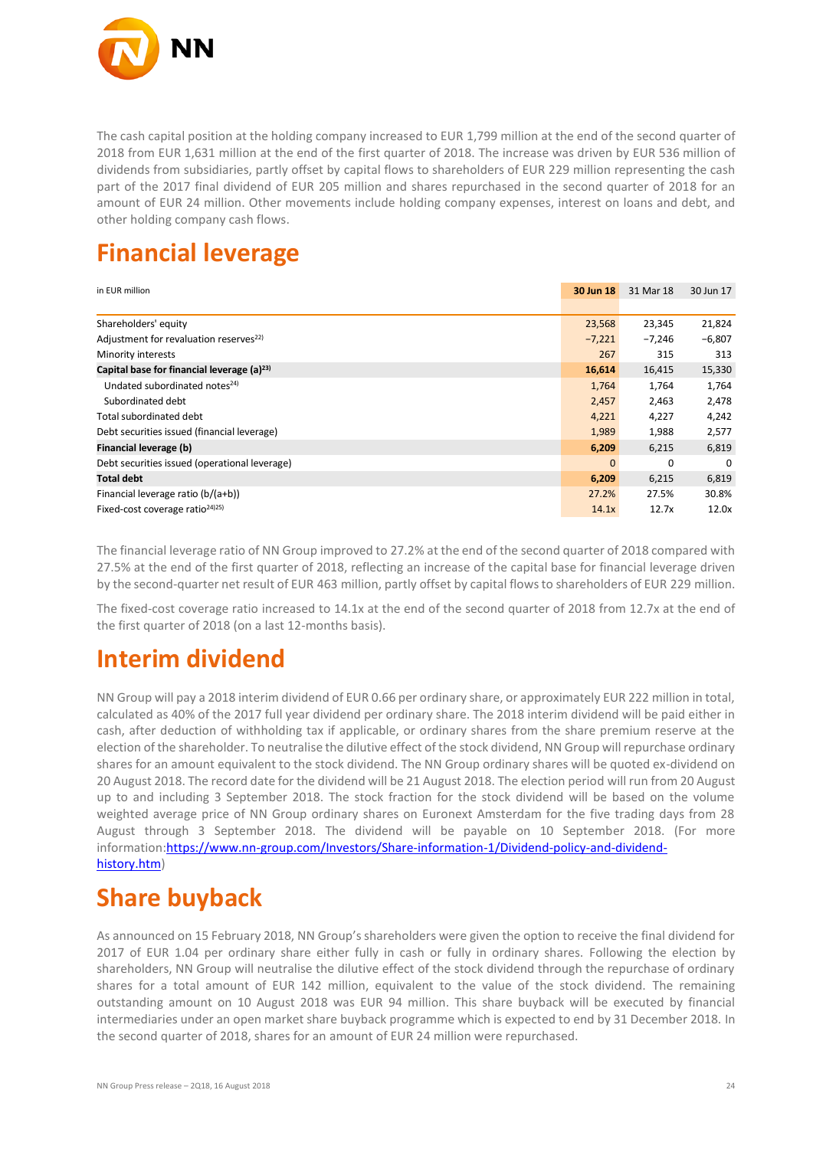

The cash capital position at the holding company increased to EUR 1,799 million at the end of the second quarter of 2018 from EUR 1,631 million at the end of the first quarter of 2018. The increase was driven by EUR 536 million of dividends from subsidiaries, partly offset by capital flows to shareholders of EUR 229 million representing the cash part of the 2017 final dividend of EUR 205 million and shares repurchased in the second quarter of 2018 for an amount of EUR 24 million. Other movements include holding company expenses, interest on loans and debt, and other holding company cash flows.

## **Financial leverage**

| in EUR million                                     | 30 Jun 18    | 31 Mar 18 | 30 Jun 17 |
|----------------------------------------------------|--------------|-----------|-----------|
|                                                    |              |           |           |
| Shareholders' equity                               | 23,568       | 23,345    | 21,824    |
| Adjustment for revaluation reserves <sup>22)</sup> | $-7,221$     | $-7.246$  | $-6,807$  |
| Minority interests                                 | 267          | 315       | 313       |
| Capital base for financial leverage $(a)^{23}$     | 16,614       | 16,415    | 15,330    |
| Undated subordinated notes <sup>24)</sup>          | 1,764        | 1,764     | 1,764     |
| Subordinated debt                                  | 2,457        | 2,463     | 2,478     |
| Total subordinated debt                            | 4,221        | 4,227     | 4,242     |
| Debt securities issued (financial leverage)        | 1,989        | 1,988     | 2,577     |
| Financial leverage (b)                             | 6,209        | 6,215     | 6,819     |
| Debt securities issued (operational leverage)      | $\mathbf{0}$ | 0         | 0         |
| <b>Total debt</b>                                  | 6,209        | 6,215     | 6,819     |
| Financial leverage ratio (b/(a+b))                 | 27.2%        | 27.5%     | 30.8%     |
| Fixed-cost coverage ratio <sup>24)25)</sup>        | 14.1x        | 12.7x     | 12.0x     |

The financial leverage ratio of NN Group improved to 27.2% at the end of the second quarter of 2018 compared with 27.5% at the end of the first quarter of 2018, reflecting an increase of the capital base for financial leverage driven by the second-quarter net result of EUR 463 million, partly offset by capital flows to shareholders of EUR 229 million.

The fixed-cost coverage ratio increased to 14.1x at the end of the second quarter of 2018 from 12.7x at the end of the first quarter of 2018 (on a last 12-months basis).

### **Interim dividend**

NN Group will pay a 2018 interim dividend of EUR 0.66 per ordinary share, or approximately EUR 222 million in total, calculated as 40% of the 2017 full year dividend per ordinary share. The 2018 interim dividend will be paid either in cash, after deduction of withholding tax if applicable, or ordinary shares from the share premium reserve at the election of the shareholder. To neutralise the dilutive effect of the stock dividend, NN Group will repurchase ordinary shares for an amount equivalent to the stock dividend. The NN Group ordinary shares will be quoted ex-dividend on 20 August 2018. The record date for the dividend will be 21 August 2018. The election period will run from 20 August up to and including 3 September 2018. The stock fraction for the stock dividend will be based on the volume weighted average price of NN Group ordinary shares on Euronext Amsterdam for the five trading days from 28 August through 3 September 2018. The dividend will be payable on 10 September 2018. (For more information[:https://www.nn-group.com/Investors/Share-information-1/Dividend-policy-and-dividend](https://www.nn-group.com/Investors/Share-information-1/Dividend-policy-and-dividend-history.htm)[history.htm\)](https://www.nn-group.com/Investors/Share-information-1/Dividend-policy-and-dividend-history.htm)

# **Share buyback**

As announced on 15 February 2018, NN Group's shareholders were given the option to receive the final dividend for 2017 of EUR 1.04 per ordinary share either fully in cash or fully in ordinary shares. Following the election by shareholders, NN Group will neutralise the dilutive effect of the stock dividend through the repurchase of ordinary shares for a total amount of EUR 142 million, equivalent to the value of the stock dividend. The remaining outstanding amount on 10 August 2018 was EUR 94 million. This share buyback will be executed by financial intermediaries under an open market share buyback programme which is expected to end by 31 December 2018. In the second quarter of 2018, shares for an amount of EUR 24 million were repurchased.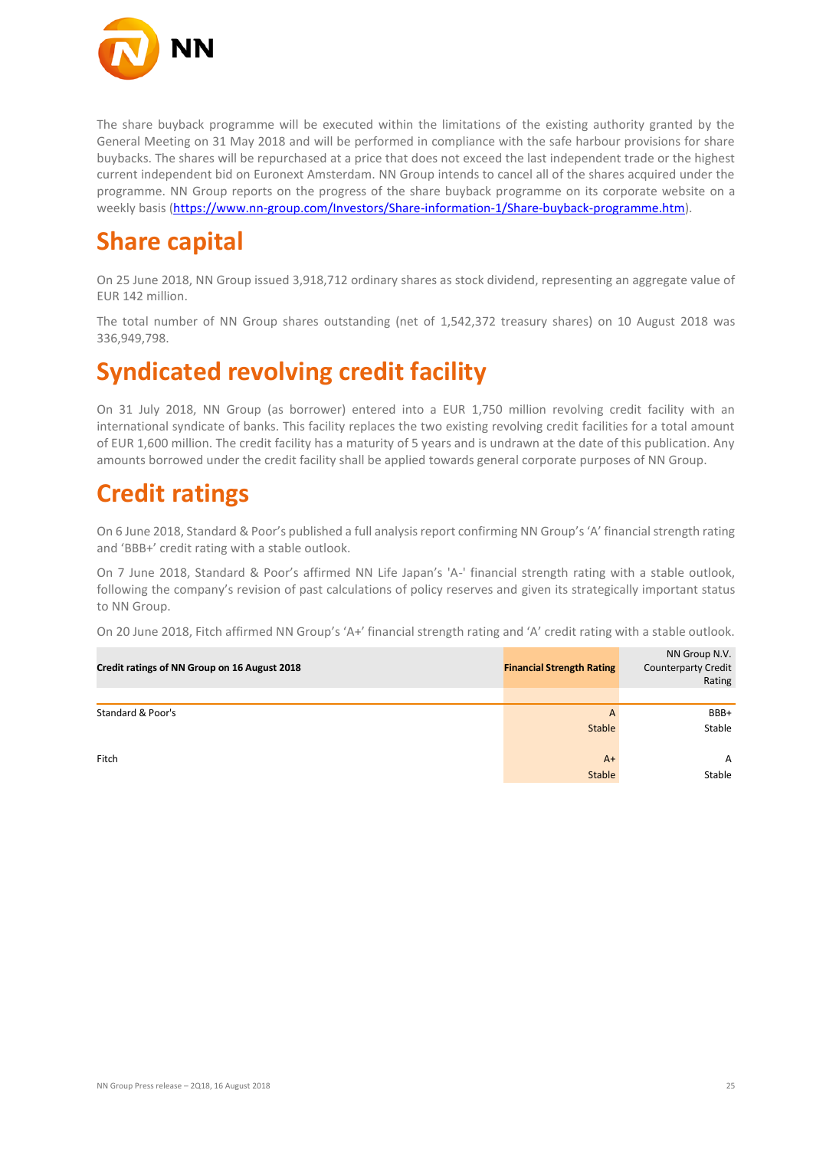

The share buyback programme will be executed within the limitations of the existing authority granted by the General Meeting on 31 May 2018 and will be performed in compliance with the safe harbour provisions for share buybacks. The shares will be repurchased at a price that does not exceed the last independent trade or the highest current independent bid on Euronext Amsterdam. NN Group intends to cancel all of the shares acquired under the programme. NN Group reports on the progress of the share buyback programme on its corporate website on a weekly basis [\(https://www.nn-group.com/Investors/Share-information-1/Share-buyback-programme.htm\)](https://www.nn-group.com/Investors/Share-information-1/Share-buyback-programme.htm).

## **Share capital**

On 25 June 2018, NN Group issued 3,918,712 ordinary shares as stock dividend, representing an aggregate value of EUR 142 million.

The total number of NN Group shares outstanding (net of 1,542,372 treasury shares) on 10 August 2018 was 336,949,798.

### **Syndicated revolving credit facility**

On 31 July 2018, NN Group (as borrower) entered into a EUR 1,750 million revolving credit facility with an international syndicate of banks. This facility replaces the two existing revolving credit facilities for a total amount of EUR 1,600 million. The credit facility has a maturity of 5 years and is undrawn at the date of this publication. Any amounts borrowed under the credit facility shall be applied towards general corporate purposes of NN Group.

### **Credit ratings**

On 6 June 2018, Standard & Poor's published a full analysis report confirming NN Group's 'A' financial strength rating and 'BBB+' credit rating with a stable outlook.

On 7 June 2018, Standard & Poor's affirmed NN Life Japan's 'A-' financial strength rating with a stable outlook, following the company's revision of past calculations of policy reserves and given its strategically important status to NN Group.

On 20 June 2018, Fitch affirmed NN Group's 'A+' financial strength rating and 'A' credit rating with a stable outlook.

| Credit ratings of NN Group on 16 August 2018 | <b>Financial Strength Rating</b> | NN Group N.V.<br><b>Counterparty Credit</b><br>Rating |
|----------------------------------------------|----------------------------------|-------------------------------------------------------|
|                                              |                                  |                                                       |
| Standard & Poor's                            | $\overline{A}$                   | BBB+                                                  |
|                                              | <b>Stable</b>                    | Stable                                                |
| Fitch                                        | $A+$                             | $\mathsf{A}$                                          |
|                                              | Stable                           | Stable                                                |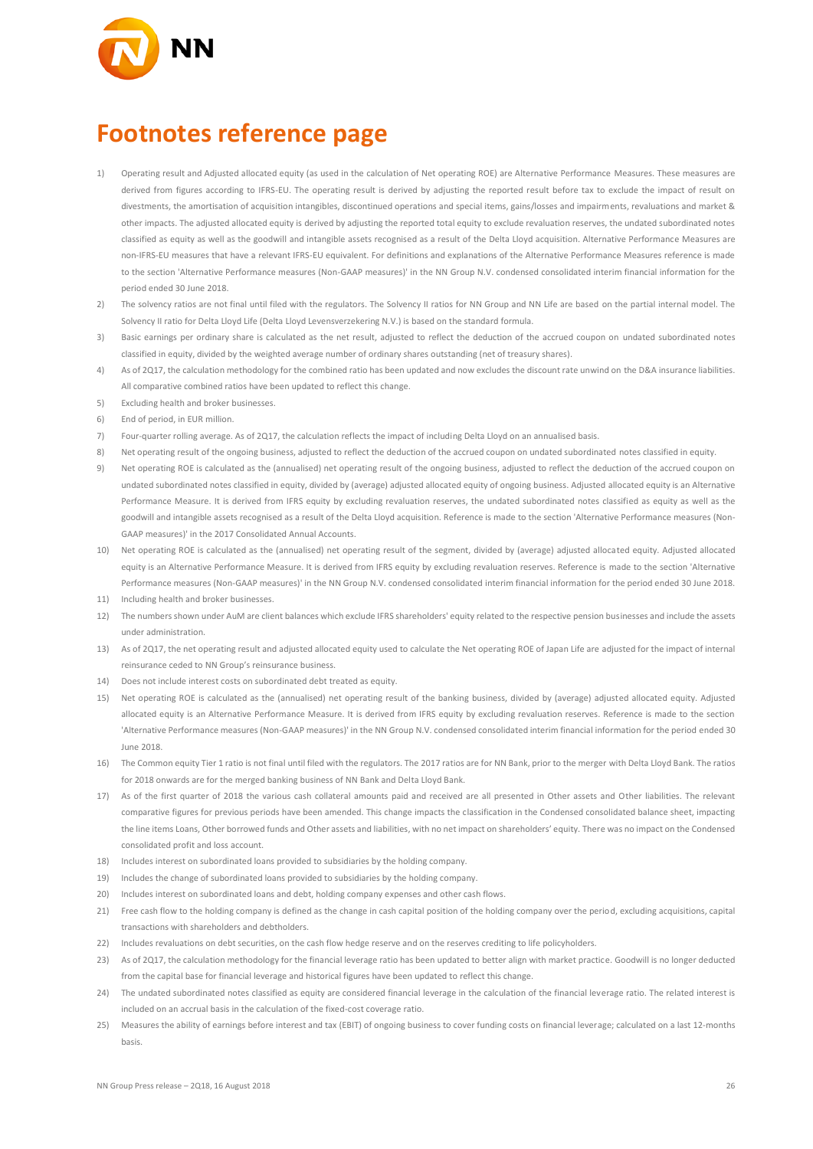

## **Footnotes reference page**

- 1) Operating result and Adjusted allocated equity (as used in the calculation of Net operating ROE) are Alternative Performance Measures. These measures are derived from figures according to IFRS-EU. The operating result is derived by adjusting the reported result before tax to exclude the impact of result on estments, the amortisation of acquisition intangibles, discontinued operations and special items, gains/losses and impairments, revaluations and market & other impacts. The adjusted allocated equity is derived by adjusting the reported total equity to exclude revaluation reserves, the undated subordinated notes classified as equity as well as the goodwill and intangible assets recognised as a result of the Delta Lloyd acquisition. Alternative Performance Measures are non-IFRS-EU measures that have a relevant IFRS-EU equivalent. For definitions and explanations of the Alternative Performance Measures reference is made to the section 'Alternative Performance measures (Non-GAAP measures)' in the NN Group N.V. condensed consolidated interim financial information for the period ended 30 June 2018.
- 2) The solvency ratios are not final until filed with the regulators. The Solvency II ratios for NN Group and NN Life are based on the partial internal model. The Solvency II ratio for Delta Lloyd Life (Delta Lloyd Levensverzekering N.V.) is based on the standard formula.
- 3) Basic earnings per ordinary share is calculated as the net result, adjusted to reflect the deduction of the accrued coupon on undated subordinated notes classified in equity, divided by the weighted average number of ordinary shares outstanding (net of treasury shares).
- 4) As of 2Q17, the calculation methodology for the combined ratio has been updated and now excludes the discount rate unwind on the D&A insurance liabilities. All comparative combined ratios have been updated to reflect this change.
- 5) Excluding health and broker businesses.
- 6) End of period, in EUR million.
- 7) Four-quarter rolling average. As of 2Q17, the calculation reflects the impact of including Delta Lloyd on an annualised basis.
- 8) Net operating result of the ongoing business, adjusted to reflect the deduction of the accrued coupon on undated subordinated notes classified in equity.
- 9) Net operating ROE is calculated as the (annualised) net operating result of the ongoing business, adjusted to reflect the deduction of the accrued coupon on undated subordinated notes classified in equity, divided by (average) adjusted allocated equity of ongoing business. Adjusted allocated equity is an Alternative Performance Measure. It is derived from IFRS equity by excluding revaluation reserves, the undated subordinated notes classified as equity as well as the goodwill and intangible assets recognised as a result of the Delta Lloyd acquisition. Reference is made to the section 'Alternative Performance measures (Non-GAAP measures)' in the 2017 Consolidated Annual Accounts.
- 10) Net operating ROE is calculated as the (annualised) net operating result of the segment, divided by (average) adjusted allocated equity. Adjusted allocated equity is an Alternative Performance Measure. It is derived from IFRS equity by excluding revaluation reserves. Reference is made to the section 'Alternative Performance measures (Non-GAAP measures)' in the NN Group N.V. condensed consolidated interim financial information for the period ended 30 June 2018.
- 11) Including health and broker businesses.
- 12) The numbers shown under AuM are client balances which exclude IFRS shareholders' equity related to the respective pension businesses and include the assets under administration.
- 13) As of 2Q17, the net operating result and adjusted allocated equity used to calculate the Net operating ROE of Japan Life are adjusted for the impact of internal reinsurance ceded to NN Group's reinsurance business.
- 14) Does not include interest costs on subordinated debt treated as equity.
- 15) Net operating ROE is calculated as the (annualised) net operating result of the banking business, divided by (average) adjusted allocated equity. Adjusted allocated equity is an Alternative Performance Measure. It is derived from IFRS equity by excluding revaluation reserves. Reference is made to the section 'Alternative Performance measures (Non-GAAP measures)' in the NN Group N.V. condensed consolidated interim financial information for the period ended 30 June 2018.
- 16) The Common equity Tier 1 ratio is not final until filed with the regulators. The 2017 ratios are for NN Bank, prior to the merger with Delta Lloyd Bank. The ratios for 2018 onwards are for the merged banking business of NN Bank and Delta Lloyd Bank.
- 17) As of the first quarter of 2018 the various cash collateral amounts paid and received are all presented in Other assets and Other liabilities. The relevant comparative figures for previous periods have been amended. This change impacts the classification in the Condensed consolidated balance sheet, impacting the line items Loans, Other borrowed funds and Other assets and liabilities, with no net impact on shareholders' equity. There was no impact on the Condensed consolidated profit and loss account.
- 18) Includes interest on subordinated loans provided to subsidiaries by the holding company.
- 19) Includes the change of subordinated loans provided to subsidiaries by the holding company.
- 20) Includes interest on subordinated loans and debt, holding company expenses and other cash flows.
- 21) Free cash flow to the holding company is defined as the change in cash capital position of the holding company over the period, excluding acquisitions, capital transactions with shareholders and debtholders.
- 22) Includes revaluations on debt securities, on the cash flow hedge reserve and on the reserves crediting to life policyholders.
- 23) As of 2017, the calculation methodology for the financial leverage ratio has been updated to better align with market practice. Goodwill is no longer deducted from the capital base for financial leverage and historical figures have been updated to reflect this change.
- 24) The undated subordinated notes classified as equity are considered financial leverage in the calculation of the financial leverage ratio. The related interest is included on an accrual basis in the calculation of the fixed-cost coverage ratio.
- 25) Measures the ability of earnings before interest and tax (EBIT) of ongoing business to cover funding costs on financial leverage; calculated on a last 12-months basis.